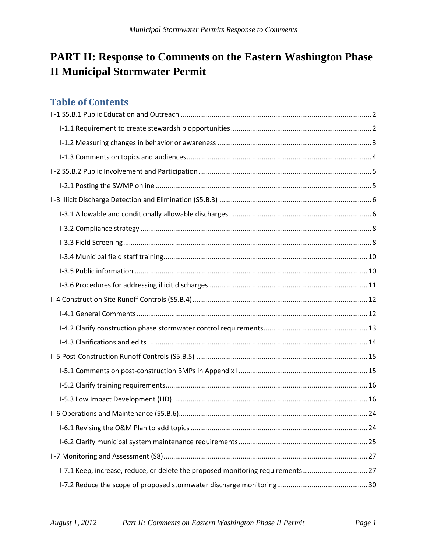# **PART II: Response to Comments on the Eastern Washington Phase II Municipal Stormwater Permit**

# **Table of Contents**

| II-7.1 Keep, increase, reduce, or delete the proposed monitoring requirements27 |  |
|---------------------------------------------------------------------------------|--|
|                                                                                 |  |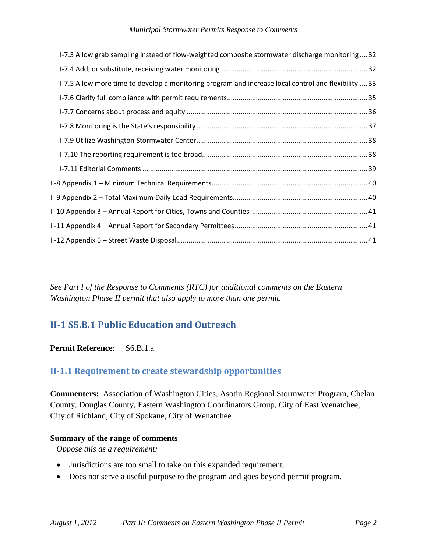#### *Municipal Stormwater Permits Response to Comments*

| II-7.3 Allow grab sampling instead of flow-weighted composite stormwater discharge monitoring  32    |
|------------------------------------------------------------------------------------------------------|
|                                                                                                      |
| II-7.5 Allow more time to develop a monitoring program and increase local control and flexibility 33 |
|                                                                                                      |
|                                                                                                      |
|                                                                                                      |
|                                                                                                      |
|                                                                                                      |
|                                                                                                      |
|                                                                                                      |
|                                                                                                      |
|                                                                                                      |
|                                                                                                      |
|                                                                                                      |

*See Part I of the Response to Comments (RTC) for additional comments on the Eastern Washington Phase II permit that also apply to more than one permit.*

# <span id="page-1-0"></span>**II-1 S5.B.1 Public Education and Outreach**

## **Permit Reference**: S6.B.1.a

## <span id="page-1-1"></span>**II-1.1 Requirement to create stewardship opportunities**

**Commenters:** Association of Washington Cities, Asotin Regional Stormwater Program, Chelan County, Douglas County, Eastern Washington Coordinators Group, City of East Wenatchee, City of Richland, City of Spokane, City of Wenatchee

### **Summary of the range of comments**

*Oppose this as a requirement:*

- Jurisdictions are too small to take on this expanded requirement.
- Does not serve a useful purpose to the program and goes beyond permit program.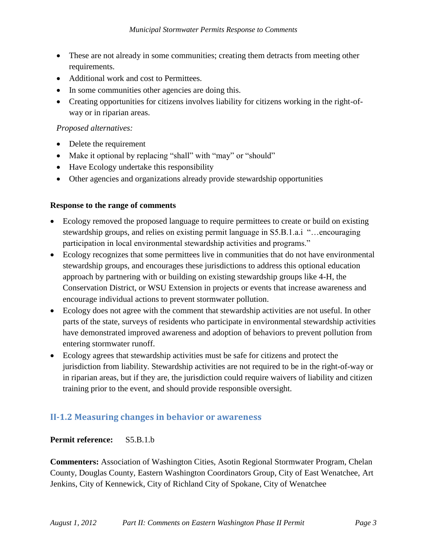- These are not already in some communities; creating them detracts from meeting other requirements.
- Additional work and cost to Permittees.
- In some communities other agencies are doing this.
- Creating opportunities for citizens involves liability for citizens working in the right-ofway or in riparian areas.

## *Proposed alternatives:*

- Delete the requirement
- Make it optional by replacing "shall" with "may" or "should"
- Have Ecology undertake this responsibility
- Other agencies and organizations already provide stewardship opportunities

## **Response to the range of comments**

- Ecology removed the proposed language to require permittees to create or build on existing stewardship groups, and relies on existing permit language in S5.B.1.a.i "…encouraging participation in local environmental stewardship activities and programs."
- Ecology recognizes that some permittees live in communities that do not have environmental stewardship groups, and encourages these jurisdictions to address this optional education approach by partnering with or building on existing stewardship groups like 4-H, the Conservation District, or WSU Extension in projects or events that increase awareness and encourage individual actions to prevent stormwater pollution.
- Ecology does not agree with the comment that stewardship activities are not useful. In other parts of the state, surveys of residents who participate in environmental stewardship activities have demonstrated improved awareness and adoption of behaviors to prevent pollution from entering stormwater runoff.
- Ecology agrees that stewardship activities must be safe for citizens and protect the jurisdiction from liability. Stewardship activities are not required to be in the right-of-way or in riparian areas, but if they are, the jurisdiction could require waivers of liability and citizen training prior to the event, and should provide responsible oversight.

# <span id="page-2-0"></span>**II-1.2 Measuring changes in behavior or awareness**

## **Permit reference:** S5.B.1.b

**Commenters:** Association of Washington Cities, Asotin Regional Stormwater Program, Chelan County, Douglas County, Eastern Washington Coordinators Group, City of East Wenatchee, Art Jenkins, City of Kennewick, City of Richland City of Spokane, City of Wenatchee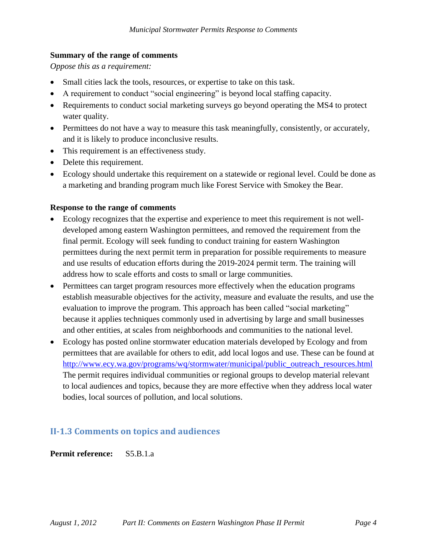## **Summary of the range of comments**

*Oppose this as a requirement:*

- Small cities lack the tools, resources, or expertise to take on this task.
- A requirement to conduct "social engineering" is beyond local staffing capacity.
- Requirements to conduct social marketing surveys go beyond operating the MS4 to protect water quality.
- Permittees do not have a way to measure this task meaningfully, consistently, or accurately, and it is likely to produce inconclusive results.
- This requirement is an effectiveness study.
- Delete this requirement.
- Ecology should undertake this requirement on a statewide or regional level. Could be done as a marketing and branding program much like Forest Service with Smokey the Bear.

## **Response to the range of comments**

- Ecology recognizes that the expertise and experience to meet this requirement is not welldeveloped among eastern Washington permittees, and removed the requirement from the final permit. Ecology will seek funding to conduct training for eastern Washington permittees during the next permit term in preparation for possible requirements to measure and use results of education efforts during the 2019-2024 permit term. The training will address how to scale efforts and costs to small or large communities.
- Permittees can target program resources more effectively when the education programs establish measurable objectives for the activity, measure and evaluate the results, and use the evaluation to improve the program. This approach has been called "social marketing" because it applies techniques commonly used in advertising by large and small businesses and other entities, at scales from neighborhoods and communities to the national level.
- Ecology has posted online stormwater education materials developed by Ecology and from permittees that are available for others to edit, add local logos and use. These can be found at [http://www.ecy.wa.gov/programs/wq/stormwater/municipal/public\\_outreach\\_resources.html](http://www.ecy.wa.gov/programs/wq/stormwater/municipal/public_outreach_resources.html) The permit requires individual communities or regional groups to develop material relevant to local audiences and topics, because they are more effective when they address local water bodies, local sources of pollution, and local solutions.

## <span id="page-3-0"></span>**II-1.3 Comments on topics and audiences**

**Permit reference:** S5.B.1.a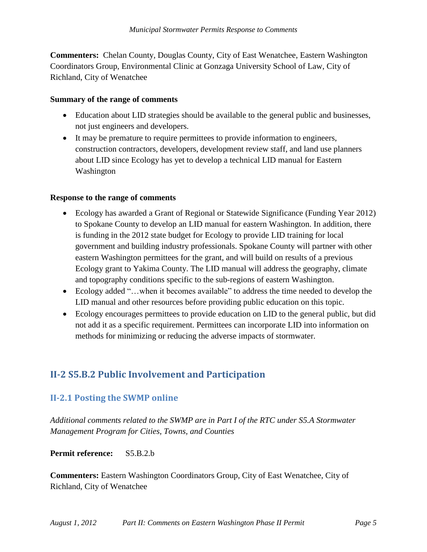**Commenters:** Chelan County, Douglas County, City of East Wenatchee, Eastern Washington Coordinators Group, Environmental Clinic at Gonzaga University School of Law, City of Richland, City of Wenatchee

### **Summary of the range of comments**

- Education about LID strategies should be available to the general public and businesses, not just engineers and developers.
- It may be premature to require permittees to provide information to engineers, construction contractors, developers, development review staff, and land use planners about LID since Ecology has yet to develop a technical LID manual for Eastern Washington

### **Response to the range of comments**

- Ecology has awarded a Grant of Regional or Statewide Significance (Funding Year 2012) to Spokane County to develop an LID manual for eastern Washington. In addition, there is funding in the 2012 state budget for Ecology to provide LID training for local government and building industry professionals. Spokane County will partner with other eastern Washington permittees for the grant, and will build on results of a previous Ecology grant to Yakima County. The LID manual will address the geography, climate and topography conditions specific to the sub-regions of eastern Washington.
- Ecology added "…when it becomes available" to address the time needed to develop the LID manual and other resources before providing public education on this topic.
- Ecology encourages permittees to provide education on LID to the general public, but did not add it as a specific requirement. Permittees can incorporate LID into information on methods for minimizing or reducing the adverse impacts of stormwater.

# <span id="page-4-0"></span>**II-2 S5.B.2 Public Involvement and Participation**

## <span id="page-4-1"></span>**II-2.1 Posting the SWMP online**

*Additional comments related to the SWMP are in Part I of the RTC under S5.A Stormwater Management Program for Cities, Towns, and Counties*

### **Permit reference:** S5.B.2.b

**Commenters:** Eastern Washington Coordinators Group, City of East Wenatchee, City of Richland, City of Wenatchee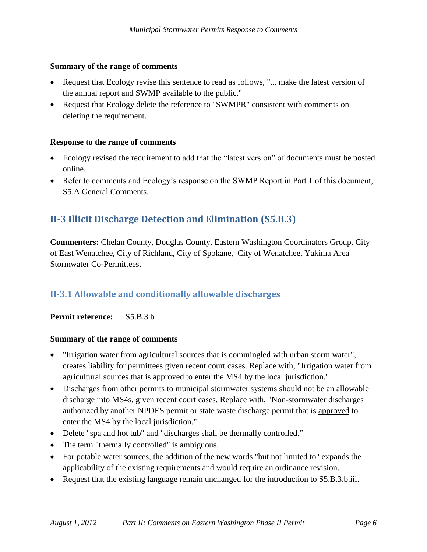#### **Summary of the range of comments**

- Request that Ecology revise this sentence to read as follows, "... make the latest version of the annual report and SWMP available to the public."
- Request that Ecology delete the reference to "SWMPR" consistent with comments on deleting the requirement.

### **Response to the range of comments**

- Ecology revised the requirement to add that the "latest version" of documents must be posted online.
- Refer to comments and Ecology's response on the SWMP Report in Part 1 of this document, S5.A General Comments.

# <span id="page-5-0"></span>**II-3 Illicit Discharge Detection and Elimination (S5.B.3)**

**Commenters:** Chelan County, Douglas County, Eastern Washington Coordinators Group, City of East Wenatchee, City of Richland, City of Spokane, City of Wenatchee, Yakima Area Stormwater Co-Permittees.

## <span id="page-5-1"></span>**II-3.1 Allowable and conditionally allowable discharges**

**Permit reference:** S5.B.3.b

### **Summary of the range of comments**

- "Irrigation water from agricultural sources that is commingled with urban storm water", creates liability for permittees given recent court cases. Replace with, "Irrigation water from agricultural sources that is approved to enter the MS4 by the local jurisdiction."
- Discharges from other permits to municipal stormwater systems should not be an allowable discharge into MS4s, given recent court cases. Replace with, "Non-stormwater discharges authorized by another NPDES permit or state waste discharge permit that is approved to enter the MS4 by the local jurisdiction."
- Delete "spa and hot tub" and "discharges shall be thermally controlled."
- The term "thermally controlled" is ambiguous.
- For potable water sources, the addition of the new words "but not limited to" expands the applicability of the existing requirements and would require an ordinance revision.
- Request that the existing language remain unchanged for the introduction to S5.B.3.b.iii.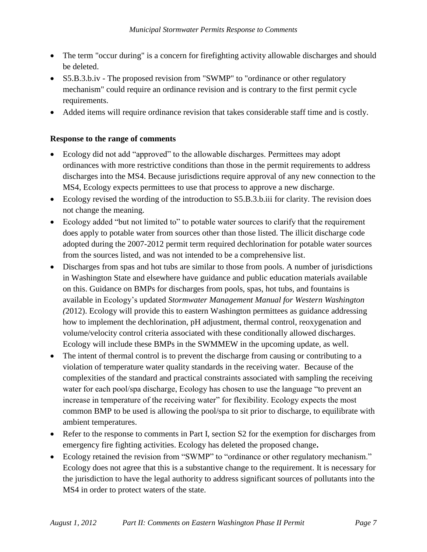- The term "occur during" is a concern for firefighting activity allowable discharges and should be deleted.
- S5.B.3.b.iv The proposed revision from "SWMP" to "ordinance or other regulatory mechanism" could require an ordinance revision and is contrary to the first permit cycle requirements.
- Added items will require ordinance revision that takes considerable staff time and is costly.

### **Response to the range of comments**

- Ecology did not add "approved" to the allowable discharges. Permittees may adopt ordinances with more restrictive conditions than those in the permit requirements to address discharges into the MS4. Because jurisdictions require approval of any new connection to the MS4, Ecology expects permittees to use that process to approve a new discharge.
- Ecology revised the wording of the introduction to S5.B.3.b.iii for clarity. The revision does not change the meaning.
- Ecology added "but not limited to" to potable water sources to clarify that the requirement does apply to potable water from sources other than those listed. The illicit discharge code adopted during the 2007-2012 permit term required dechlorination for potable water sources from the sources listed, and was not intended to be a comprehensive list.
- Discharges from spas and hot tubs are similar to those from pools. A number of jurisdictions in Washington State and elsewhere have guidance and public education materials available on this. Guidance on BMPs for discharges from pools, spas, hot tubs, and fountains is available in Ecology's updated *Stormwater Management Manual for Western Washington (*2012). Ecology will provide this to eastern Washington permittees as guidance addressing how to implement the dechlorination, pH adjustment, thermal control, reoxygenation and volume/velocity control criteria associated with these conditionally allowed discharges. Ecology will include these BMPs in the SWMMEW in the upcoming update, as well.
- The intent of thermal control is to prevent the discharge from causing or contributing to a violation of temperature water quality standards in the receiving water. Because of the complexities of the standard and practical constraints associated with sampling the receiving water for each pool/spa discharge, Ecology has chosen to use the language "to prevent an increase in temperature of the receiving water" for flexibility. Ecology expects the most common BMP to be used is allowing the pool/spa to sit prior to discharge, to equilibrate with ambient temperatures.
- Refer to the response to comments in Part I, section S2 for the exemption for discharges from emergency fire fighting activities. Ecology has deleted the proposed change**.**
- Ecology retained the revision from "SWMP" to "ordinance or other regulatory mechanism." Ecology does not agree that this is a substantive change to the requirement. It is necessary for the jurisdiction to have the legal authority to address significant sources of pollutants into the MS4 in order to protect waters of the state.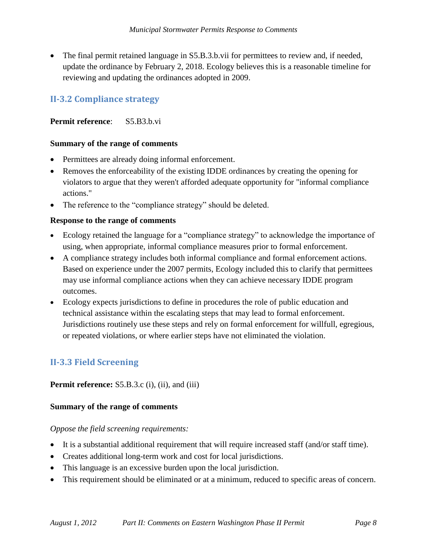The final permit retained language in S5.B.3.b.vii for permittees to review and, if needed, update the ordinance by February 2, 2018. Ecology believes this is a reasonable timeline for reviewing and updating the ordinances adopted in 2009.

## <span id="page-7-0"></span>**II-3.2 Compliance strategy**

## **Permit reference**: S5.B3.b.vi

### **Summary of the range of comments**

- Permittees are already doing informal enforcement.
- Removes the enforceability of the existing IDDE ordinances by creating the opening for violators to argue that they weren't afforded adequate opportunity for "informal compliance actions."
- The reference to the "compliance strategy" should be deleted.

### **Response to the range of comments**

- Ecology retained the language for a "compliance strategy" to acknowledge the importance of using, when appropriate, informal compliance measures prior to formal enforcement.
- A compliance strategy includes both informal compliance and formal enforcement actions. Based on experience under the 2007 permits, Ecology included this to clarify that permittees may use informal compliance actions when they can achieve necessary IDDE program outcomes.
- Ecology expects jurisdictions to define in procedures the role of public education and technical assistance within the escalating steps that may lead to formal enforcement. Jurisdictions routinely use these steps and rely on formal enforcement for willfull, egregious, or repeated violations, or where earlier steps have not eliminated the violation.

## <span id="page-7-1"></span>**II-3.3 Field Screening**

**Permit reference:** S5.B.3.c (i), (ii), and (iii)

### **Summary of the range of comments**

*Oppose the field screening requirements:*

- It is a substantial additional requirement that will require increased staff (and/or staff time).
- Creates additional long-term work and cost for local jurisdictions.
- This language is an excessive burden upon the local jurisdiction.
- This requirement should be eliminated or at a minimum, reduced to specific areas of concern.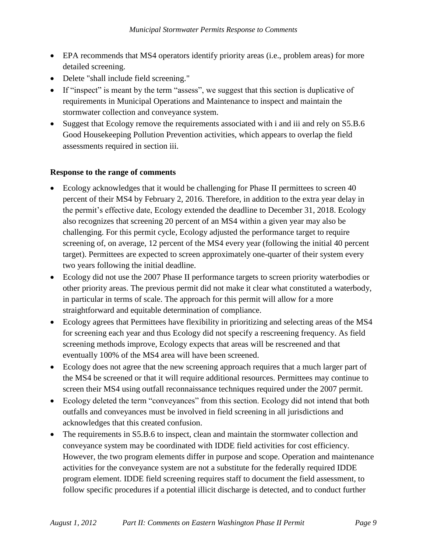- EPA recommends that MS4 operators identify priority areas (i.e., problem areas) for more detailed screening.
- Delete "shall include field screening."
- If "inspect" is meant by the term "assess", we suggest that this section is duplicative of requirements in Municipal Operations and Maintenance to inspect and maintain the stormwater collection and conveyance system.
- Suggest that Ecology remove the requirements associated with i and iii and rely on S5.B.6 Good Housekeeping Pollution Prevention activities, which appears to overlap the field assessments required in section iii.

## **Response to the range of comments**

- Ecology acknowledges that it would be challenging for Phase II permittees to screen 40 percent of their MS4 by February 2, 2016. Therefore, in addition to the extra year delay in the permit's effective date, Ecology extended the deadline to December 31, 2018. Ecology also recognizes that screening 20 percent of an MS4 within a given year may also be challenging. For this permit cycle, Ecology adjusted the performance target to require screening of, on average, 12 percent of the MS4 every year (following the initial 40 percent target). Permittees are expected to screen approximately one-quarter of their system every two years following the initial deadline.
- Ecology did not use the 2007 Phase II performance targets to screen priority waterbodies or other priority areas. The previous permit did not make it clear what constituted a waterbody, in particular in terms of scale. The approach for this permit will allow for a more straightforward and equitable determination of compliance.
- Ecology agrees that Permittees have flexibility in prioritizing and selecting areas of the MS4 for screening each year and thus Ecology did not specify a rescreening frequency. As field screening methods improve, Ecology expects that areas will be rescreened and that eventually 100% of the MS4 area will have been screened.
- Ecology does not agree that the new screening approach requires that a much larger part of the MS4 be screened or that it will require additional resources. Permittees may continue to screen their MS4 using outfall reconnaissance techniques required under the 2007 permit.
- Ecology deleted the term "conveyances" from this section. Ecology did not intend that both outfalls and conveyances must be involved in field screening in all jurisdictions and acknowledges that this created confusion.
- The requirements in S5.B.6 to inspect, clean and maintain the stormwater collection and conveyance system may be coordinated with IDDE field activities for cost efficiency. However, the two program elements differ in purpose and scope. Operation and maintenance activities for the conveyance system are not a substitute for the federally required IDDE program element. IDDE field screening requires staff to document the field assessment, to follow specific procedures if a potential illicit discharge is detected, and to conduct further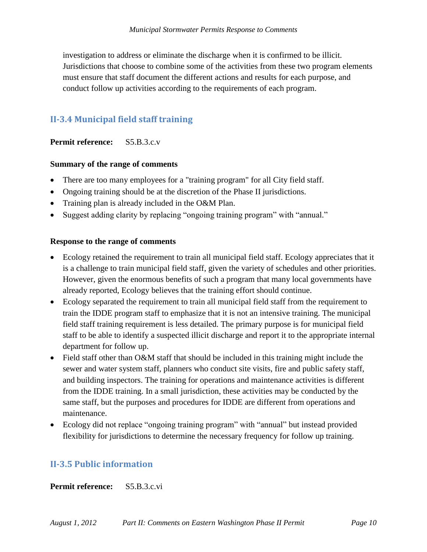investigation to address or eliminate the discharge when it is confirmed to be illicit. Jurisdictions that choose to combine some of the activities from these two program elements must ensure that staff document the different actions and results for each purpose, and conduct follow up activities according to the requirements of each program.

# <span id="page-9-0"></span>**II-3.4 Municipal field staff training**

## **Permit reference:** S5.B.3.c.v

## **Summary of the range of comments**

- There are too many employees for a "training program" for all City field staff.
- Ongoing training should be at the discretion of the Phase II jurisdictions.
- Training plan is already included in the O&M Plan.
- Suggest adding clarity by replacing "ongoing training program" with "annual."

## **Response to the range of comments**

- Ecology retained the requirement to train all municipal field staff. Ecology appreciates that it is a challenge to train municipal field staff, given the variety of schedules and other priorities. However, given the enormous benefits of such a program that many local governments have already reported, Ecology believes that the training effort should continue.
- Ecology separated the requirement to train all municipal field staff from the requirement to train the IDDE program staff to emphasize that it is not an intensive training. The municipal field staff training requirement is less detailed. The primary purpose is for municipal field staff to be able to identify a suspected illicit discharge and report it to the appropriate internal department for follow up.
- Field staff other than O&M staff that should be included in this training might include the sewer and water system staff, planners who conduct site visits, fire and public safety staff, and building inspectors. The training for operations and maintenance activities is different from the IDDE training. In a small jurisdiction, these activities may be conducted by the same staff, but the purposes and procedures for IDDE are different from operations and maintenance.
- Ecology did not replace "ongoing training program" with "annual" but instead provided flexibility for jurisdictions to determine the necessary frequency for follow up training.

## <span id="page-9-1"></span>**II-3.5 Public information**

**Permit reference:** S5.B.3.c.vi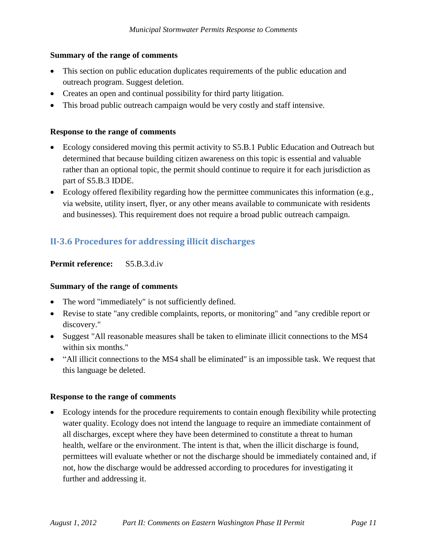### **Summary of the range of comments**

- This section on public education duplicates requirements of the public education and outreach program. Suggest deletion.
- Creates an open and continual possibility for third party litigation.
- This broad public outreach campaign would be very costly and staff intensive.

## **Response to the range of comments**

- Ecology considered moving this permit activity to S5.B.1 Public Education and Outreach but determined that because building citizen awareness on this topic is essential and valuable rather than an optional topic, the permit should continue to require it for each jurisdiction as part of S5.B.3 IDDE.
- Ecology offered flexibility regarding how the permittee communicates this information (e.g., via website, utility insert, flyer, or any other means available to communicate with residents and businesses). This requirement does not require a broad public outreach campaign.

# <span id="page-10-0"></span>**II-3.6 Procedures for addressing illicit discharges**

## **Permit reference:** S5.B.3.d.iv

### **Summary of the range of comments**

- The word "immediately" is not sufficiently defined.
- Revise to state "any credible complaints, reports, or monitoring" and "any credible report or discovery."
- Suggest "All reasonable measures shall be taken to eliminate illicit connections to the MS4 within six months."
- "All illicit connections to the MS4 shall be eliminated" is an impossible task. We request that this language be deleted.

### **Response to the range of comments**

 Ecology intends for the procedure requirements to contain enough flexibility while protecting water quality. Ecology does not intend the language to require an immediate containment of all discharges, except where they have been determined to constitute a threat to human health, welfare or the environment. The intent is that, when the illicit discharge is found, permittees will evaluate whether or not the discharge should be immediately contained and, if not, how the discharge would be addressed according to procedures for investigating it further and addressing it.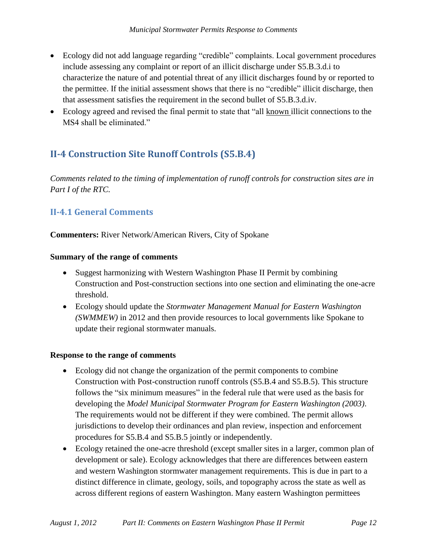- Ecology did not add language regarding "credible" complaints. Local government procedures include assessing any complaint or report of an illicit discharge under S5.B.3.d.i to characterize the nature of and potential threat of any illicit discharges found by or reported to the permittee. If the initial assessment shows that there is no "credible" illicit discharge, then that assessment satisfies the requirement in the second bullet of S5.B.3.d.iv.
- Ecology agreed and revised the final permit to state that "all known illicit connections to the MS4 shall be eliminated."

# <span id="page-11-0"></span>**II-4 Construction Site Runoff Controls (S5.B.4)**

*Comments related to the timing of implementation of runoff controls for construction sites are in Part I of the RTC.*

# <span id="page-11-1"></span>**II-4.1 General Comments**

**Commenters:** River Network/American Rivers, City of Spokane

### **Summary of the range of comments**

- Suggest harmonizing with Western Washington Phase II Permit by combining Construction and Post-construction sections into one section and eliminating the one-acre threshold.
- Ecology should update the *Stormwater Management Manual for Eastern Washington (SWMMEW)* in 2012 and then provide resources to local governments like Spokane to update their regional stormwater manuals.

### **Response to the range of comments**

- Ecology did not change the organization of the permit components to combine Construction with Post-construction runoff controls (S5.B.4 and S5.B.5). This structure follows the "six minimum measures" in the federal rule that were used as the basis for developing the *Model Municipal Stormwater Program for Eastern Washington (2003)*. The requirements would not be different if they were combined. The permit allows jurisdictions to develop their ordinances and plan review, inspection and enforcement procedures for S5.B.4 and S5.B.5 jointly or independently.
- Ecology retained the one-acre threshold (except smaller sites in a larger, common plan of development or sale). Ecology acknowledges that there are differences between eastern and western Washington stormwater management requirements. This is due in part to a distinct difference in climate, geology, soils, and topography across the state as well as across different regions of eastern Washington. Many eastern Washington permittees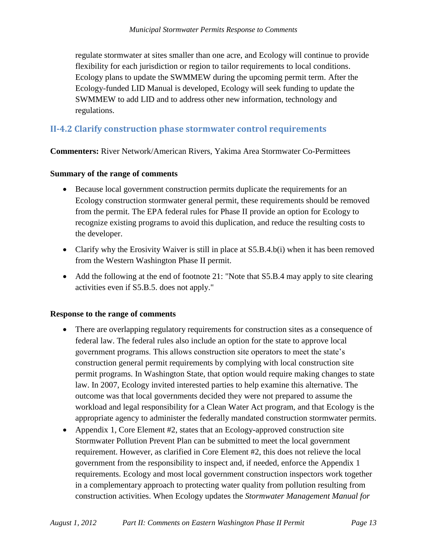regulate stormwater at sites smaller than one acre, and Ecology will continue to provide flexibility for each jurisdiction or region to tailor requirements to local conditions. Ecology plans to update the SWMMEW during the upcoming permit term. After the Ecology-funded LID Manual is developed, Ecology will seek funding to update the SWMMEW to add LID and to address other new information, technology and regulations.

## <span id="page-12-0"></span>**II-4.2 Clarify construction phase stormwater control requirements**

**Commenters:** River Network/American Rivers, Yakima Area Stormwater Co-Permittees

#### **Summary of the range of comments**

- Because local government construction permits duplicate the requirements for an Ecology construction stormwater general permit, these requirements should be removed from the permit. The EPA federal rules for Phase II provide an option for Ecology to recognize existing programs to avoid this duplication, and reduce the resulting costs to the developer.
- Clarify why the Erosivity Waiver is still in place at S5.B.4.b(i) when it has been removed from the Western Washington Phase II permit.
- Add the following at the end of footnote 21: "Note that S5.B.4 may apply to site clearing activities even if S5.B.5. does not apply."

#### **Response to the range of comments**

- There are overlapping regulatory requirements for construction sites as a consequence of federal law. The federal rules also include an option for the state to approve local government programs. This allows construction site operators to meet the state's construction general permit requirements by complying with local construction site permit programs. In Washington State, that option would require making changes to state law. In 2007, Ecology invited interested parties to help examine this alternative. The outcome was that local governments decided they were not prepared to assume the workload and legal responsibility for a Clean Water Act program, and that Ecology is the appropriate agency to administer the federally mandated construction stormwater permits.
- Appendix 1, Core Element #2, states that an Ecology-approved construction site Stormwater Pollution Prevent Plan can be submitted to meet the local government requirement. However, as clarified in Core Element #2, this does not relieve the local government from the responsibility to inspect and, if needed, enforce the Appendix 1 requirements. Ecology and most local government construction inspectors work together in a complementary approach to protecting water quality from pollution resulting from construction activities. When Ecology updates the *Stormwater Management Manual for*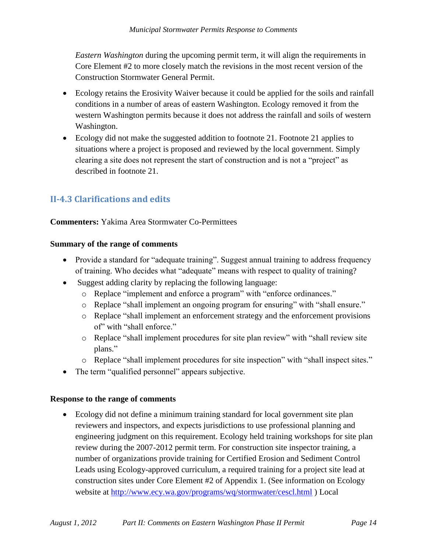*Eastern Washington* during the upcoming permit term, it will align the requirements in Core Element #2 to more closely match the revisions in the most recent version of the Construction Stormwater General Permit.

- Ecology retains the Erosivity Waiver because it could be applied for the soils and rainfall conditions in a number of areas of eastern Washington. Ecology removed it from the western Washington permits because it does not address the rainfall and soils of western Washington.
- Ecology did not make the suggested addition to footnote 21. Footnote 21 applies to situations where a project is proposed and reviewed by the local government. Simply clearing a site does not represent the start of construction and is not a "project" as described in footnote 21.

# <span id="page-13-0"></span>**II-4.3 Clarifications and edits**

## **Commenters:** Yakima Area Stormwater Co-Permittees

## **Summary of the range of comments**

- Provide a standard for "adequate training". Suggest annual training to address frequency of training. Who decides what "adequate" means with respect to quality of training?
- Suggest adding clarity by replacing the following language:
	- o Replace "implement and enforce a program" with "enforce ordinances."
	- o Replace "shall implement an ongoing program for ensuring" with "shall ensure."
	- o Replace "shall implement an enforcement strategy and the enforcement provisions of" with "shall enforce."
	- o Replace "shall implement procedures for site plan review" with "shall review site plans."
	- o Replace "shall implement procedures for site inspection" with "shall inspect sites."
- The term "qualified personnel" appears subjective.

## **Response to the range of comments**

 Ecology did not define a minimum training standard for local government site plan reviewers and inspectors, and expects jurisdictions to use professional planning and engineering judgment on this requirement. Ecology held training workshops for site plan review during the 2007-2012 permit term. For construction site inspector training, a number of organizations provide training for Certified Erosion and Sediment Control Leads using Ecology-approved curriculum, a required training for a project site lead at construction sites under Core Element #2 of Appendix 1. (See information on Ecology website at<http://www.ecy.wa.gov/programs/wq/stormwater/cescl.html> ) Local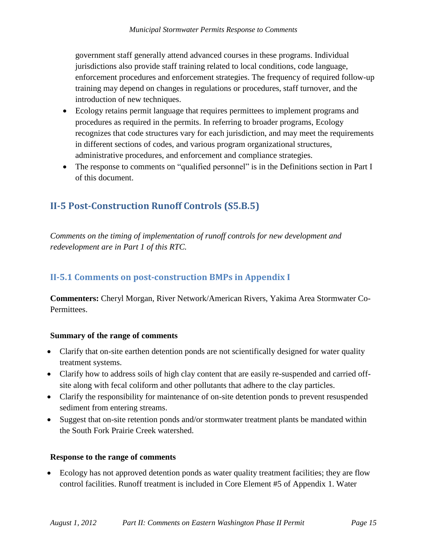government staff generally attend advanced courses in these programs. Individual jurisdictions also provide staff training related to local conditions, code language, enforcement procedures and enforcement strategies. The frequency of required follow-up training may depend on changes in regulations or procedures, staff turnover, and the introduction of new techniques.

- Ecology retains permit language that requires permittees to implement programs and procedures as required in the permits. In referring to broader programs, Ecology recognizes that code structures vary for each jurisdiction, and may meet the requirements in different sections of codes, and various program organizational structures, administrative procedures, and enforcement and compliance strategies.
- The response to comments on "qualified personnel" is in the Definitions section in Part I of this document.

# <span id="page-14-0"></span>**II-5 Post-Construction Runoff Controls (S5.B.5)**

*Comments on the timing of implementation of runoff controls for new development and redevelopment are in Part 1 of this RTC.*

## <span id="page-14-1"></span>**II-5.1 Comments on post-construction BMPs in Appendix I**

**Commenters:** Cheryl Morgan, River Network/American Rivers, Yakima Area Stormwater Co-Permittees.

### **Summary of the range of comments**

- Clarify that on-site earthen detention ponds are not scientifically designed for water quality treatment systems.
- Clarify how to address soils of high clay content that are easily re-suspended and carried offsite along with fecal coliform and other pollutants that adhere to the clay particles.
- Clarify the responsibility for maintenance of on-site detention ponds to prevent resuspended sediment from entering streams.
- Suggest that on-site retention ponds and/or stormwater treatment plants be mandated within the South Fork Prairie Creek watershed.

## **Response to the range of comments**

 Ecology has not approved detention ponds as water quality treatment facilities; they are flow control facilities. Runoff treatment is included in Core Element #5 of Appendix 1. Water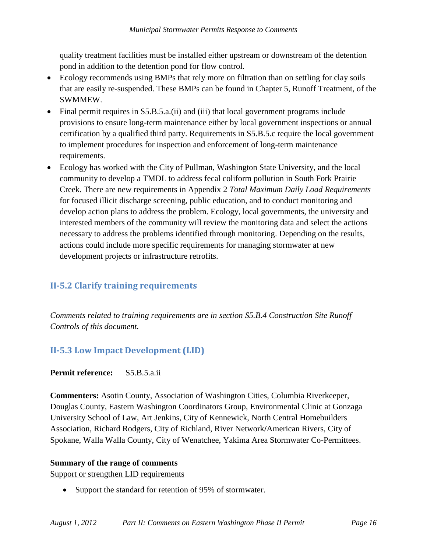quality treatment facilities must be installed either upstream or downstream of the detention pond in addition to the detention pond for flow control.

- Ecology recommends using BMPs that rely more on filtration than on settling for clay soils that are easily re-suspended. These BMPs can be found in Chapter 5, Runoff Treatment, of the SWMMEW.
- Final permit requires in S5.B.5.a.(ii) and (iii) that local government programs include provisions to ensure long-term maintenance either by local government inspections or annual certification by a qualified third party. Requirements in S5.B.5.c require the local government to implement procedures for inspection and enforcement of long-term maintenance requirements.
- Ecology has worked with the City of Pullman, Washington State University, and the local community to develop a TMDL to address fecal coliform pollution in South Fork Prairie Creek. There are new requirements in Appendix 2 *Total Maximum Daily Load Requirements*  for focused illicit discharge screening, public education, and to conduct monitoring and develop action plans to address the problem. Ecology, local governments, the university and interested members of the community will review the monitoring data and select the actions necessary to address the problems identified through monitoring. Depending on the results, actions could include more specific requirements for managing stormwater at new development projects or infrastructure retrofits.

# <span id="page-15-0"></span>**II-5.2 Clarify training requirements**

*Comments related to training requirements are in section S5.B.4 Construction Site Runoff Controls of this document.*

## <span id="page-15-1"></span>**II-5.3 Low Impact Development (LID)**

## **Permit reference:** S5.B.5.a.ii

**Commenters:** Asotin County, Association of Washington Cities, Columbia Riverkeeper, Douglas County, Eastern Washington Coordinators Group, Environmental Clinic at Gonzaga University School of Law, Art Jenkins, City of Kennewick, North Central Homebuilders Association, Richard Rodgers, City of Richland, River Network**/**American Rivers, City of Spokane, Walla Walla County, City of Wenatchee, Yakima Area Stormwater Co-Permittees.

### **Summary of the range of comments**

Support or strengthen LID requirements

• Support the standard for retention of 95% of stormwater.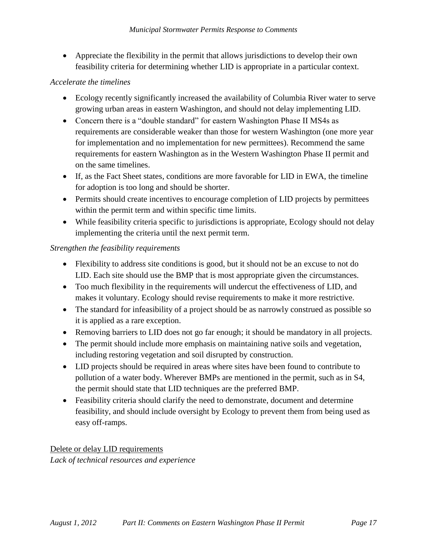Appreciate the flexibility in the permit that allows jurisdictions to develop their own feasibility criteria for determining whether LID is appropriate in a particular context.

## *Accelerate the timelines*

- Ecology recently significantly increased the availability of Columbia River water to serve growing urban areas in eastern Washington, and should not delay implementing LID.
- Concern there is a "double standard" for eastern Washington Phase II MS4s as requirements are considerable weaker than those for western Washington (one more year for implementation and no implementation for new permittees). Recommend the same requirements for eastern Washington as in the Western Washington Phase II permit and on the same timelines.
- If, as the Fact Sheet states, conditions are more favorable for LID in EWA, the timeline for adoption is too long and should be shorter.
- Permits should create incentives to encourage completion of LID projects by permittees within the permit term and within specific time limits.
- While feasibility criteria specific to jurisdictions is appropriate, Ecology should not delay implementing the criteria until the next permit term.

## *Strengthen the feasibility requirements*

- Flexibility to address site conditions is good, but it should not be an excuse to not do LID. Each site should use the BMP that is most appropriate given the circumstances.
- Too much flexibility in the requirements will undercut the effectiveness of LID, and makes it voluntary. Ecology should revise requirements to make it more restrictive.
- The standard for infeasibility of a project should be as narrowly construed as possible so it is applied as a rare exception.
- Removing barriers to LID does not go far enough; it should be mandatory in all projects.
- The permit should include more emphasis on maintaining native soils and vegetation, including restoring vegetation and soil disrupted by construction.
- LID projects should be required in areas where sites have been found to contribute to pollution of a water body. Wherever BMPs are mentioned in the permit, such as in S4, the permit should state that LID techniques are the preferred BMP.
- Feasibility criteria should clarify the need to demonstrate, document and determine feasibility, and should include oversight by Ecology to prevent them from being used as easy off-ramps.

Delete or delay LID requirements *Lack of technical resources and experience*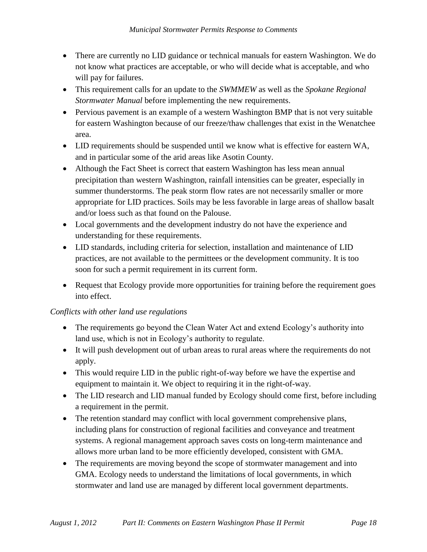- There are currently no LID guidance or technical manuals for eastern Washington. We do not know what practices are acceptable, or who will decide what is acceptable, and who will pay for failures.
- This requirement calls for an update to the *SWMMEW* as well as the *Spokane Regional Stormwater Manual* before implementing the new requirements.
- Pervious pavement is an example of a western Washington BMP that is not very suitable for eastern Washington because of our freeze/thaw challenges that exist in the Wenatchee area.
- LID requirements should be suspended until we know what is effective for eastern WA, and in particular some of the arid areas like Asotin County.
- Although the Fact Sheet is correct that eastern Washington has less mean annual precipitation than western Washington, rainfall intensities can be greater, especially in summer thunderstorms. The peak storm flow rates are not necessarily smaller or more appropriate for LID practices. Soils may be less favorable in large areas of shallow basalt and/or loess such as that found on the Palouse.
- Local governments and the development industry do not have the experience and understanding for these requirements.
- LID standards, including criteria for selection, installation and maintenance of LID practices, are not available to the permittees or the development community. It is too soon for such a permit requirement in its current form.
- Request that Ecology provide more opportunities for training before the requirement goes into effect.

## *Conflicts with other land use regulations*

- The requirements go beyond the Clean Water Act and extend Ecology's authority into land use, which is not in Ecology's authority to regulate.
- It will push development out of urban areas to rural areas where the requirements do not apply.
- This would require LID in the public right-of-way before we have the expertise and equipment to maintain it. We object to requiring it in the right-of-way.
- The LID research and LID manual funded by Ecology should come first, before including a requirement in the permit.
- The retention standard may conflict with local government comprehensive plans, including plans for construction of regional facilities and conveyance and treatment systems. A regional management approach saves costs on long-term maintenance and allows more urban land to be more efficiently developed, consistent with GMA.
- The requirements are moving beyond the scope of stormwater management and into GMA. Ecology needs to understand the limitations of local governments, in which stormwater and land use are managed by different local government departments.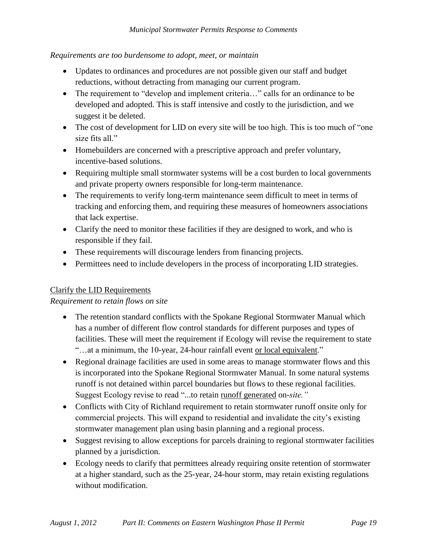## *Requirements are too burdensome to adopt, meet, or maintain*

- Updates to ordinances and procedures are not possible given our staff and budget reductions, without detracting from managing our current program.
- The requirement to "develop and implement criteria..." calls for an ordinance to be developed and adopted. This is staff intensive and costly to the jurisdiction, and we suggest it be deleted.
- The cost of development for LID on every site will be too high. This is too much of "one" size fits all."
- Homebuilders are concerned with a prescriptive approach and prefer voluntary, incentive-based solutions.
- Requiring multiple small stormwater systems will be a cost burden to local governments and private property owners responsible for long-term maintenance.
- The requirements to verify long-term maintenance seem difficult to meet in terms of tracking and enforcing them, and requiring these measures of homeowners associations that lack expertise.
- Clarify the need to monitor these facilities if they are designed to work, and who is responsible if they fail.
- These requirements will discourage lenders from financing projects.
- Permittees need to include developers in the process of incorporating LID strategies.

## Clarify the LID Requirements

## *Requirement to retain flows on site*

- The retention standard conflicts with the Spokane Regional Stormwater Manual which has a number of different flow control standards for different purposes and types of facilities. These will meet the requirement if Ecology will revise the requirement to state "...at a minimum, the 10-year, 24-hour rainfall event or local equivalent."
- Regional drainage facilities are used in some areas to manage stormwater flows and this is incorporated into the Spokane Regional Stormwater Manual. In some natural systems runoff is not detained within parcel boundaries but flows to these regional facilities. Suggest Ecology revise to read "...to retain runoff generated on-*site."*
- Conflicts with City of Richland requirement to retain stormwater runoff onsite only for commercial projects. This will expand to residential and invalidate the city's existing stormwater management plan using basin planning and a regional process.
- Suggest revising to allow exceptions for parcels draining to regional stormwater facilities planned by a jurisdiction.
- Ecology needs to clarify that permittees already requiring onsite retention of stormwater at a higher standard, such as the 25-year, 24-hour storm, may retain existing regulations without modification.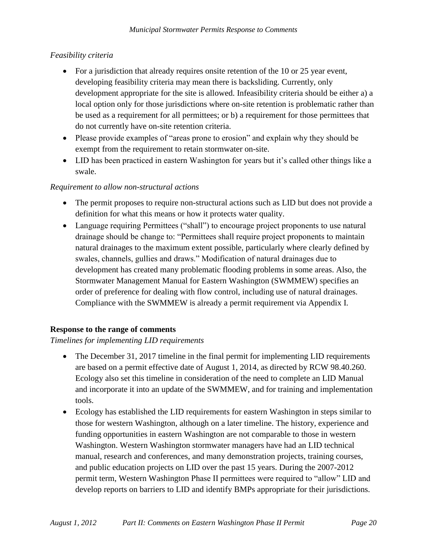## *Feasibility criteria*

- For a jurisdiction that already requires onsite retention of the 10 or 25 year event, developing feasibility criteria may mean there is backsliding. Currently, only development appropriate for the site is allowed. Infeasibility criteria should be either a) a local option only for those jurisdictions where on-site retention is problematic rather than be used as a requirement for all permittees; or b) a requirement for those permittees that do not currently have on-site retention criteria.
- Please provide examples of "areas prone to erosion" and explain why they should be exempt from the requirement to retain stormwater on-site.
- LID has been practiced in eastern Washington for years but it's called other things like a swale.

## *Requirement to allow non-structural actions*

- The permit proposes to require non-structural actions such as LID but does not provide a definition for what this means or how it protects water quality.
- Language requiring Permittees ("shall") to encourage project proponents to use natural drainage should be change to: "Permittees shall require project proponents to maintain natural drainages to the maximum extent possible, particularly where clearly defined by swales, channels, gullies and draws." Modification of natural drainages due to development has created many problematic flooding problems in some areas. Also, the Stormwater Management Manual for Eastern Washington (SWMMEW) specifies an order of preference for dealing with flow control, including use of natural drainages. Compliance with the SWMMEW is already a permit requirement via Appendix I.

## **Response to the range of comments**

## *Timelines for implementing LID requirements*

- The December 31, 2017 timeline in the final permit for implementing LID requirements are based on a permit effective date of August 1, 2014, as directed by RCW 98.40.260. Ecology also set this timeline in consideration of the need to complete an LID Manual and incorporate it into an update of the SWMMEW, and for training and implementation tools.
- Ecology has established the LID requirements for eastern Washington in steps similar to those for western Washington, although on a later timeline. The history, experience and funding opportunities in eastern Washington are not comparable to those in western Washington. Western Washington stormwater managers have had an LID technical manual, research and conferences, and many demonstration projects, training courses, and public education projects on LID over the past 15 years. During the 2007-2012 permit term, Western Washington Phase II permittees were required to "allow" LID and develop reports on barriers to LID and identify BMPs appropriate for their jurisdictions.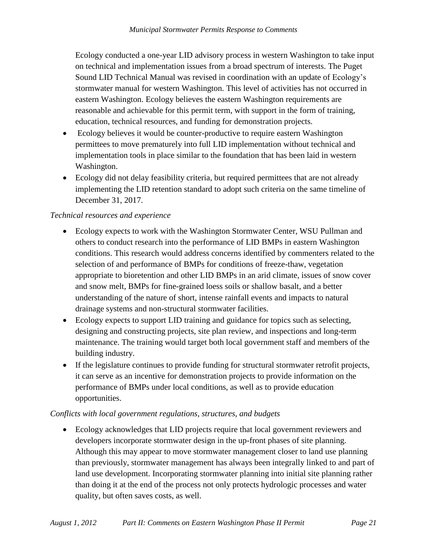Ecology conducted a one-year LID advisory process in western Washington to take input on technical and implementation issues from a broad spectrum of interests. The Puget Sound LID Technical Manual was revised in coordination with an update of Ecology's stormwater manual for western Washington. This level of activities has not occurred in eastern Washington. Ecology believes the eastern Washington requirements are reasonable and achievable for this permit term, with support in the form of training, education, technical resources, and funding for demonstration projects.

- Ecology believes it would be counter-productive to require eastern Washington permittees to move prematurely into full LID implementation without technical and implementation tools in place similar to the foundation that has been laid in western Washington.
- Ecology did not delay feasibility criteria, but required permittees that are not already implementing the LID retention standard to adopt such criteria on the same timeline of December 31, 2017.

## *Technical resources and experience*

- Ecology expects to work with the Washington Stormwater Center, WSU Pullman and others to conduct research into the performance of LID BMPs in eastern Washington conditions. This research would address concerns identified by commenters related to the selection of and performance of BMPs for conditions of freeze-thaw, vegetation appropriate to bioretention and other LID BMPs in an arid climate, issues of snow cover and snow melt, BMPs for fine-grained loess soils or shallow basalt, and a better understanding of the nature of short, intense rainfall events and impacts to natural drainage systems and non-structural stormwater facilities.
- Ecology expects to support LID training and guidance for topics such as selecting, designing and constructing projects, site plan review, and inspections and long-term maintenance. The training would target both local government staff and members of the building industry.
- If the legislature continues to provide funding for structural stormwater retrofit projects, it can serve as an incentive for demonstration projects to provide information on the performance of BMPs under local conditions, as well as to provide education opportunities.

## *Conflicts with local government regulations, structures, and budgets*

 Ecology acknowledges that LID projects require that local government reviewers and developers incorporate stormwater design in the up-front phases of site planning. Although this may appear to move stormwater management closer to land use planning than previously, stormwater management has always been integrally linked to and part of land use development. Incorporating stormwater planning into initial site planning rather than doing it at the end of the process not only protects hydrologic processes and water quality, but often saves costs, as well.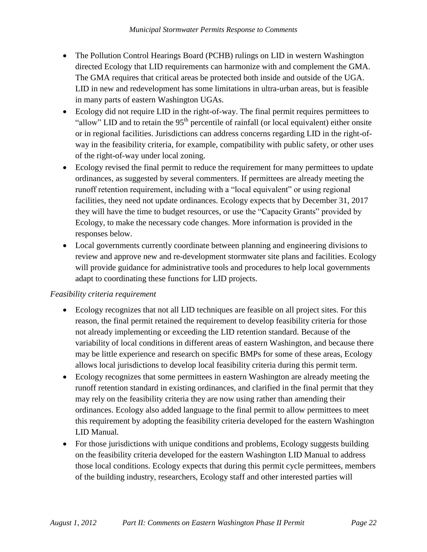- The Pollution Control Hearings Board (PCHB) rulings on LID in western Washington directed Ecology that LID requirements can harmonize with and complement the GMA. The GMA requires that critical areas be protected both inside and outside of the UGA. LID in new and redevelopment has some limitations in ultra-urban areas, but is feasible in many parts of eastern Washington UGAs.
- Ecology did not require LID in the right-of-way. The final permit requires permittees to "allow" LID and to retain the  $95<sup>th</sup>$  percentile of rainfall (or local equivalent) either onsite or in regional facilities. Jurisdictions can address concerns regarding LID in the right-ofway in the feasibility criteria, for example, compatibility with public safety, or other uses of the right-of-way under local zoning.
- Ecology revised the final permit to reduce the requirement for many permittees to update ordinances, as suggested by several commenters. If permittees are already meeting the runoff retention requirement, including with a "local equivalent" or using regional facilities, they need not update ordinances. Ecology expects that by December 31, 2017 they will have the time to budget resources, or use the "Capacity Grants" provided by Ecology, to make the necessary code changes. More information is provided in the responses below.
- Local governments currently coordinate between planning and engineering divisions to review and approve new and re-development stormwater site plans and facilities. Ecology will provide guidance for administrative tools and procedures to help local governments adapt to coordinating these functions for LID projects.

## *Feasibility criteria requirement*

- Ecology recognizes that not all LID techniques are feasible on all project sites. For this reason, the final permit retained the requirement to develop feasibility criteria for those not already implementing or exceeding the LID retention standard. Because of the variability of local conditions in different areas of eastern Washington, and because there may be little experience and research on specific BMPs for some of these areas, Ecology allows local jurisdictions to develop local feasibility criteria during this permit term.
- Ecology recognizes that some permittees in eastern Washington are already meeting the runoff retention standard in existing ordinances, and clarified in the final permit that they may rely on the feasibility criteria they are now using rather than amending their ordinances. Ecology also added language to the final permit to allow permittees to meet this requirement by adopting the feasibility criteria developed for the eastern Washington LID Manual.
- For those jurisdictions with unique conditions and problems, Ecology suggests building on the feasibility criteria developed for the eastern Washington LID Manual to address those local conditions. Ecology expects that during this permit cycle permittees, members of the building industry, researchers, Ecology staff and other interested parties will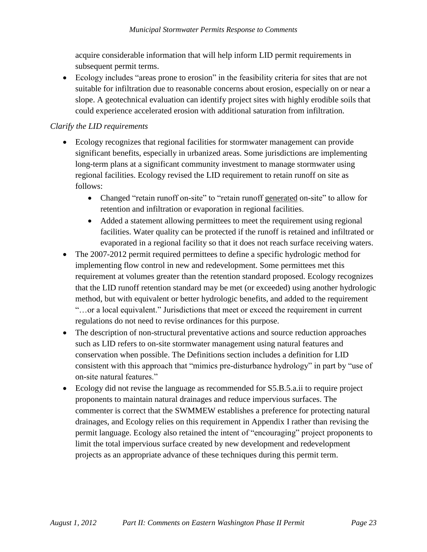acquire considerable information that will help inform LID permit requirements in subsequent permit terms.

 Ecology includes "areas prone to erosion" in the feasibility criteria for sites that are not suitable for infiltration due to reasonable concerns about erosion, especially on or near a slope. A geotechnical evaluation can identify project sites with highly erodible soils that could experience accelerated erosion with additional saturation from infiltration.

## *Clarify the LID requirements*

- Ecology recognizes that regional facilities for stormwater management can provide significant benefits, especially in urbanized areas. Some jurisdictions are implementing long-term plans at a significant community investment to manage stormwater using regional facilities. Ecology revised the LID requirement to retain runoff on site as follows:
	- Changed "retain runoff on-site" to "retain runoff generated on-site" to allow for retention and infiltration or evaporation in regional facilities.
	- Added a statement allowing permittees to meet the requirement using regional facilities. Water quality can be protected if the runoff is retained and infiltrated or evaporated in a regional facility so that it does not reach surface receiving waters.
- The 2007-2012 permit required permittees to define a specific hydrologic method for implementing flow control in new and redevelopment. Some permittees met this requirement at volumes greater than the retention standard proposed. Ecology recognizes that the LID runoff retention standard may be met (or exceeded) using another hydrologic method, but with equivalent or better hydrologic benefits, and added to the requirement "…or a local equivalent." Jurisdictions that meet or exceed the requirement in current regulations do not need to revise ordinances for this purpose.
- The description of non-structural preventative actions and source reduction approaches such as LID refers to on-site stormwater management using natural features and conservation when possible. The Definitions section includes a definition for LID consistent with this approach that "mimics pre-disturbance hydrology" in part by "use of on-site natural features."
- Ecology did not revise the language as recommended for S5.B.5.a.ii to require project proponents to maintain natural drainages and reduce impervious surfaces. The commenter is correct that the SWMMEW establishes a preference for protecting natural drainages, and Ecology relies on this requirement in Appendix I rather than revising the permit language. Ecology also retained the intent of "encouraging" project proponents to limit the total impervious surface created by new development and redevelopment projects as an appropriate advance of these techniques during this permit term.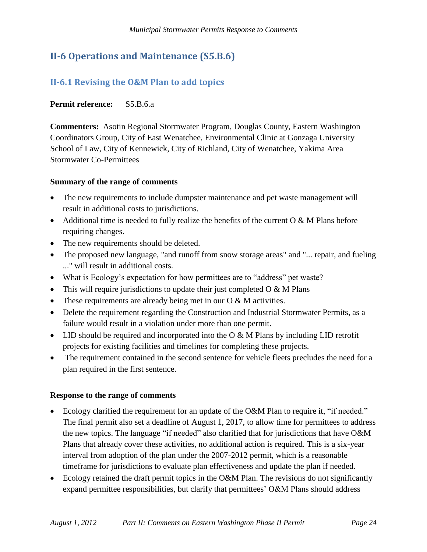# <span id="page-23-0"></span>**II-6 Operations and Maintenance (S5.B.6)**

# <span id="page-23-1"></span>**II-6.1 Revising the O&M Plan to add topics**

## **Permit reference:** S5.B.6.a

**Commenters:** Asotin Regional Stormwater Program, Douglas County, Eastern Washington Coordinators Group, City of East Wenatchee, Environmental Clinic at Gonzaga University School of Law, City of Kennewick, City of Richland, City of Wenatchee, Yakima Area Stormwater Co-Permittees

## **Summary of the range of comments**

- The new requirements to include dumpster maintenance and pet waste management will result in additional costs to jurisdictions.
- Additional time is needed to fully realize the benefits of the current  $\overline{O} \& M$  Plans before requiring changes.
- The new requirements should be deleted.
- The proposed new language, "and runoff from snow storage areas" and "... repair, and fueling ..." will result in additional costs.
- What is Ecology's expectation for how permittees are to "address" pet waste?
- This will require jurisdictions to update their just completed  $O & M$  Plans
- These requirements are already being met in our  $O & M$  activities.
- Delete the requirement regarding the Construction and Industrial Stormwater Permits, as a failure would result in a violation under more than one permit.
- LID should be required and incorporated into the O & M Plans by including LID retrofit projects for existing facilities and timelines for completing these projects.
- The requirement contained in the second sentence for vehicle fleets precludes the need for a plan required in the first sentence.

### **Response to the range of comments**

- Ecology clarified the requirement for an update of the O&M Plan to require it, "if needed." The final permit also set a deadline of August 1, 2017, to allow time for permittees to address the new topics. The language "if needed" also clarified that for jurisdictions that have O&M Plans that already cover these activities, no additional action is required. This is a six-year interval from adoption of the plan under the 2007-2012 permit, which is a reasonable timeframe for jurisdictions to evaluate plan effectiveness and update the plan if needed.
- Ecology retained the draft permit topics in the O&M Plan. The revisions do not significantly expand permittee responsibilities, but clarify that permittees' O&M Plans should address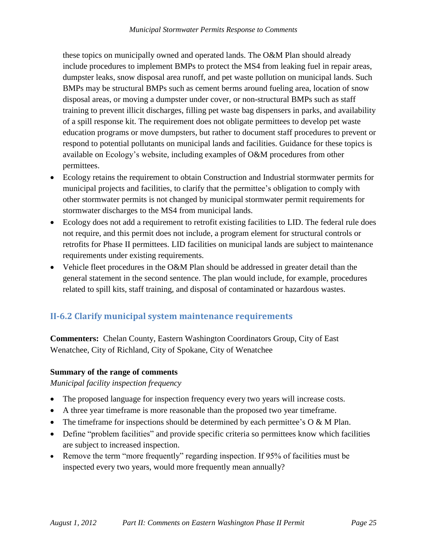these topics on municipally owned and operated lands. The O&M Plan should already include procedures to implement BMPs to protect the MS4 from leaking fuel in repair areas, dumpster leaks, snow disposal area runoff, and pet waste pollution on municipal lands. Such BMPs may be structural BMPs such as cement berms around fueling area, location of snow disposal areas, or moving a dumpster under cover, or non-structural BMPs such as staff training to prevent illicit discharges, filling pet waste bag dispensers in parks, and availability of a spill response kit. The requirement does not obligate permittees to develop pet waste education programs or move dumpsters, but rather to document staff procedures to prevent or respond to potential pollutants on municipal lands and facilities. Guidance for these topics is available on Ecology's website, including examples of O&M procedures from other permittees.

- Ecology retains the requirement to obtain Construction and Industrial stormwater permits for municipal projects and facilities, to clarify that the permittee's obligation to comply with other stormwater permits is not changed by municipal stormwater permit requirements for stormwater discharges to the MS4 from municipal lands.
- Ecology does not add a requirement to retrofit existing facilities to LID. The federal rule does not require, and this permit does not include, a program element for structural controls or retrofits for Phase II permittees. LID facilities on municipal lands are subject to maintenance requirements under existing requirements.
- Vehicle fleet procedures in the O&M Plan should be addressed in greater detail than the general statement in the second sentence. The plan would include, for example, procedures related to spill kits, staff training, and disposal of contaminated or hazardous wastes.

## <span id="page-24-0"></span>**II-6.2 Clarify municipal system maintenance requirements**

**Commenters:** Chelan County, Eastern Washington Coordinators Group, City of East Wenatchee, City of Richland, City of Spokane, City of Wenatchee

## **Summary of the range of comments**

*Municipal facility inspection frequency*

- The proposed language for inspection frequency every two years will increase costs.
- A three year timeframe is more reasonable than the proposed two year timeframe.
- The timeframe for inspections should be determined by each permittee's  $O & M$  Plan.
- Define "problem facilities" and provide specific criteria so permittees know which facilities are subject to increased inspection.
- Remove the term "more frequently" regarding inspection. If 95% of facilities must be inspected every two years, would more frequently mean annually?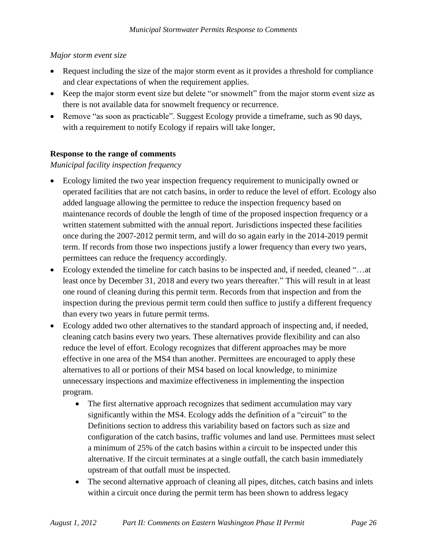## *Major storm event size*

- Request including the size of the major storm event as it provides a threshold for compliance and clear expectations of when the requirement applies.
- Keep the major storm event size but delete "or snowmelt" from the major storm event size as there is not available data for snowmelt frequency or recurrence.
- Remove "as soon as practicable". Suggest Ecology provide a timeframe, such as 90 days, with a requirement to notify Ecology if repairs will take longer,

## **Response to the range of comments**

*Municipal facility inspection frequency*

- Ecology limited the two year inspection frequency requirement to municipally owned or operated facilities that are not catch basins, in order to reduce the level of effort. Ecology also added language allowing the permittee to reduce the inspection frequency based on maintenance records of double the length of time of the proposed inspection frequency or a written statement submitted with the annual report. Jurisdictions inspected these facilities once during the 2007-2012 permit term, and will do so again early in the 2014-2019 permit term. If records from those two inspections justify a lower frequency than every two years, permittees can reduce the frequency accordingly.
- Ecology extended the timeline for catch basins to be inspected and, if needed, cleaned "…at least once by December 31, 2018 and every two years thereafter." This will result in at least one round of cleaning during this permit term. Records from that inspection and from the inspection during the previous permit term could then suffice to justify a different frequency than every two years in future permit terms.
- Ecology added two other alternatives to the standard approach of inspecting and, if needed, cleaning catch basins every two years. These alternatives provide flexibility and can also reduce the level of effort. Ecology recognizes that different approaches may be more effective in one area of the MS4 than another. Permittees are encouraged to apply these alternatives to all or portions of their MS4 based on local knowledge, to minimize unnecessary inspections and maximize effectiveness in implementing the inspection program.
	- The first alternative approach recognizes that sediment accumulation may vary significantly within the MS4. Ecology adds the definition of a "circuit" to the Definitions section to address this variability based on factors such as size and configuration of the catch basins, traffic volumes and land use. Permittees must select a minimum of 25% of the catch basins within a circuit to be inspected under this alternative. If the circuit terminates at a single outfall, the catch basin immediately upstream of that outfall must be inspected.
	- The second alternative approach of cleaning all pipes, ditches, catch basins and inlets within a circuit once during the permit term has been shown to address legacy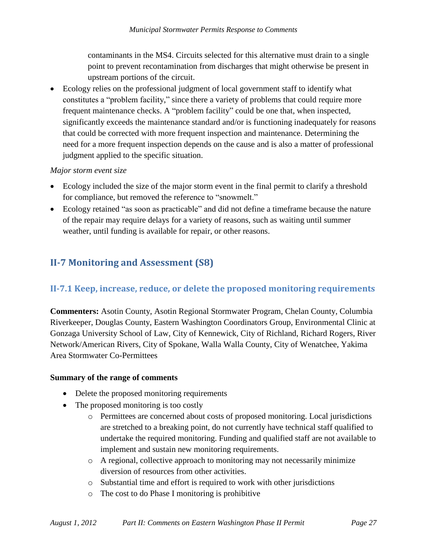contaminants in the MS4. Circuits selected for this alternative must drain to a single point to prevent recontamination from discharges that might otherwise be present in upstream portions of the circuit.

 Ecology relies on the professional judgment of local government staff to identify what constitutes a "problem facility," since there a variety of problems that could require more frequent maintenance checks. A "problem facility" could be one that, when inspected, significantly exceeds the maintenance standard and/or is functioning inadequately for reasons that could be corrected with more frequent inspection and maintenance. Determining the need for a more frequent inspection depends on the cause and is also a matter of professional judgment applied to the specific situation.

## *Major storm event size*

- Ecology included the size of the major storm event in the final permit to clarify a threshold for compliance, but removed the reference to "snowmelt."
- Ecology retained "as soon as practicable" and did not define a timeframe because the nature of the repair may require delays for a variety of reasons, such as waiting until summer weather, until funding is available for repair, or other reasons.

# <span id="page-26-0"></span>**II-7 Monitoring and Assessment (S8)**

# <span id="page-26-1"></span>**II-7.1 Keep, increase, reduce, or delete the proposed monitoring requirements**

**Commenters:** Asotin County, Asotin Regional Stormwater Program, Chelan County, Columbia Riverkeeper, Douglas County, Eastern Washington Coordinators Group, Environmental Clinic at Gonzaga University School of Law, City of Kennewick, City of Richland, Richard Rogers, River Network/American Rivers, City of Spokane, Walla Walla County, City of Wenatchee, Yakima Area Stormwater Co-Permittees

## **Summary of the range of comments**

- Delete the proposed monitoring requirements
- The proposed monitoring is too costly
	- o Permittees are concerned about costs of proposed monitoring. Local jurisdictions are stretched to a breaking point, do not currently have technical staff qualified to undertake the required monitoring. Funding and qualified staff are not available to implement and sustain new monitoring requirements.
	- o A regional, collective approach to monitoring may not necessarily minimize diversion of resources from other activities.
	- o Substantial time and effort is required to work with other jurisdictions
	- o The cost to do Phase I monitoring is prohibitive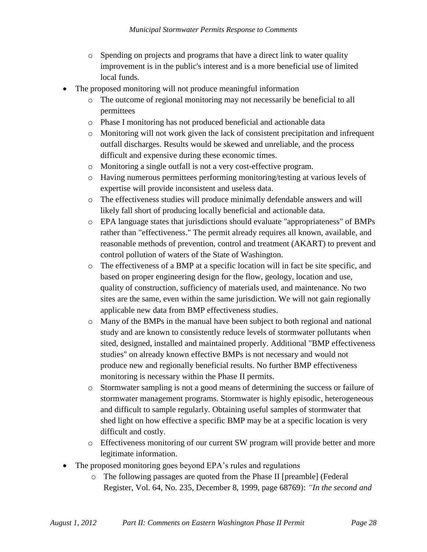- o Spending on projects and programs that have a direct link to water quality improvement is in the public's interest and is a more beneficial use of limited local funds.
- The proposed monitoring will not produce meaningful information
	- o The outcome of regional monitoring may not necessarily be beneficial to all permittees
	- o Phase I monitoring has not produced beneficial and actionable data
	- o Monitoring will not work given the lack of consistent precipitation and infrequent outfall discharges. Results would be skewed and unreliable, and the process difficult and expensive during these economic times.
	- o Monitoring a single outfall is not a very cost-effective program.
	- o Having numerous permittees performing monitoring/testing at various levels of expertise will provide inconsistent and useless data.
	- o The effectiveness studies will produce minimally defendable answers and will likely fall short of producing locally beneficial and actionable data.
	- o EPA language states that jurisdictions should evaluate "appropriateness" of BMPs rather than "effectiveness." The permit already requires all known, available, and reasonable methods of prevention, control and treatment (AKART) to prevent and control pollution of waters of the State of Washington.
	- o The effectiveness of a BMP at a specific location will in fact be site specific, and based on proper engineering design for the flow, geology, location and use, quality of construction, sufficiency of materials used, and maintenance. No two sites are the same, even within the same jurisdiction. We will not gain regionally applicable new data from BMP effectiveness studies.
	- o Many of the BMPs in the manual have been subject to both regional and national study and are known to consistently reduce levels of stormwater pollutants when sited, designed, installed and maintained properly. Additional "BMP effectiveness studies" on already known effective BMPs is not necessary and would not produce new and regionally beneficial results. No further BMP effectiveness monitoring is necessary within the Phase II permits.
	- o Stormwater sampling is not a good means of determining the success or failure of stormwater management programs. Stormwater is highly episodic, heterogeneous and difficult to sample regularly. Obtaining useful samples of stormwater that shed light on how effective a specific BMP may be at a specific location is very difficult and costly.
	- o Effectiveness monitoring of our current SW program will provide better and more legitimate information.
- The proposed monitoring goes beyond EPA's rules and regulations
	- o The following passages are quoted from the Phase II [preamble] (Federal Register, Vol. 64, No. 235, December 8, 1999, page 68769): *"In the second and*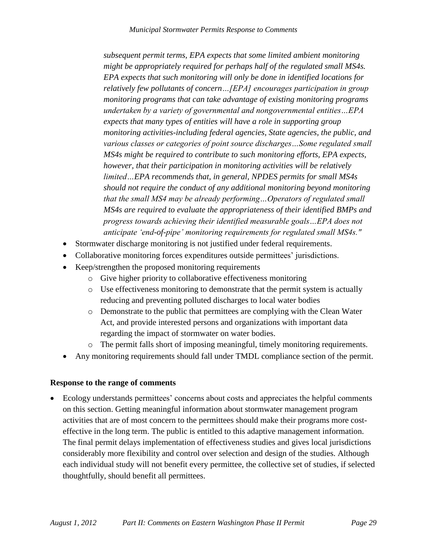*subsequent permit terms, EPA expects that some limited ambient monitoring might be appropriately required for perhaps half of the regulated small MS4s. EPA expects that such monitoring will only be done in identified locations for relatively few pollutants of concern…[EPA] encourages participation in group monitoring programs that can take advantage of existing monitoring programs undertaken by a variety of governmental and nongovernmental entities…EPA expects that many types of entities will have a role in supporting group monitoring activities-including federal agencies, State agencies, the public, and various classes or categories of point source discharges…Some regulated small MS4s might be required to contribute to such monitoring efforts, EPA expects, however, that their participation in monitoring activities will be relatively limited…EPA recommends that, in general, NPDES permits for small MS4s should not require the conduct of any additional monitoring beyond monitoring that the small MS4 may be already performing…Operators of regulated small MS4s are required to evaluate the appropriateness of their identified BMPs and progress towards achieving their identified measurable goals…EPA does not anticipate "end-of-pipe" monitoring requirements for regulated small MS4s."*

- Stormwater discharge monitoring is not justified under federal requirements.
- Collaborative monitoring forces expenditures outside permittees' jurisdictions.
- Keep/strengthen the proposed monitoring requirements
	- o Give higher priority to collaborative effectiveness monitoring
	- o Use effectiveness monitoring to demonstrate that the permit system is actually reducing and preventing polluted discharges to local water bodies
	- o Demonstrate to the public that permittees are complying with the Clean Water Act, and provide interested persons and organizations with important data regarding the impact of stormwater on water bodies.
	- o The permit falls short of imposing meaningful, timely monitoring requirements.
- Any monitoring requirements should fall under TMDL compliance section of the permit.

### **Response to the range of comments**

 Ecology understands permittees' concerns about costs and appreciates the helpful comments on this section. Getting meaningful information about stormwater management program activities that are of most concern to the permittees should make their programs more costeffective in the long term. The public is entitled to this adaptive management information. The final permit delays implementation of effectiveness studies and gives local jurisdictions considerably more flexibility and control over selection and design of the studies. Although each individual study will not benefit every permittee, the collective set of studies, if selected thoughtfully, should benefit all permittees.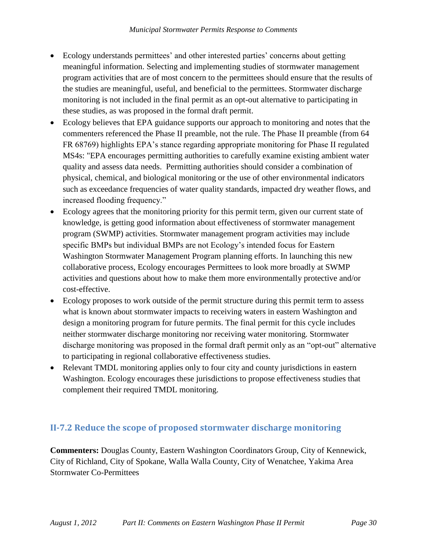- Ecology understands permittees' and other interested parties' concerns about getting meaningful information. Selecting and implementing studies of stormwater management program activities that are of most concern to the permittees should ensure that the results of the studies are meaningful, useful, and beneficial to the permittees. Stormwater discharge monitoring is not included in the final permit as an opt-out alternative to participating in these studies, as was proposed in the formal draft permit.
- Ecology believes that EPA guidance supports our approach to monitoring and notes that the commenters referenced the Phase II preamble, not the rule. The Phase II preamble (from 64 FR 68769) highlights EPA's stance regarding appropriate monitoring for Phase II regulated MS4s: "EPA encourages permitting authorities to carefully examine existing ambient water quality and assess data needs. Permitting authorities should consider a combination of physical, chemical, and biological monitoring or the use of other environmental indicators such as exceedance frequencies of water quality standards, impacted dry weather flows, and increased flooding frequency."
- Ecology agrees that the monitoring priority for this permit term, given our current state of knowledge, is getting good information about effectiveness of stormwater management program (SWMP) activities. Stormwater management program activities may include specific BMPs but individual BMPs are not Ecology's intended focus for Eastern Washington Stormwater Management Program planning efforts. In launching this new collaborative process, Ecology encourages Permittees to look more broadly at SWMP activities and questions about how to make them more environmentally protective and/or cost-effective.
- Ecology proposes to work outside of the permit structure during this permit term to assess what is known about stormwater impacts to receiving waters in eastern Washington and design a monitoring program for future permits. The final permit for this cycle includes neither stormwater discharge monitoring nor receiving water monitoring. Stormwater discharge monitoring was proposed in the formal draft permit only as an "opt-out" alternative to participating in regional collaborative effectiveness studies.
- Relevant TMDL monitoring applies only to four city and county jurisdictions in eastern Washington. Ecology encourages these jurisdictions to propose effectiveness studies that complement their required TMDL monitoring.

## <span id="page-29-0"></span>**II-7.2 Reduce the scope of proposed stormwater discharge monitoring**

**Commenters:** Douglas County, Eastern Washington Coordinators Group, City of Kennewick, City of Richland, City of Spokane, Walla Walla County, City of Wenatchee, Yakima Area Stormwater Co-Permittees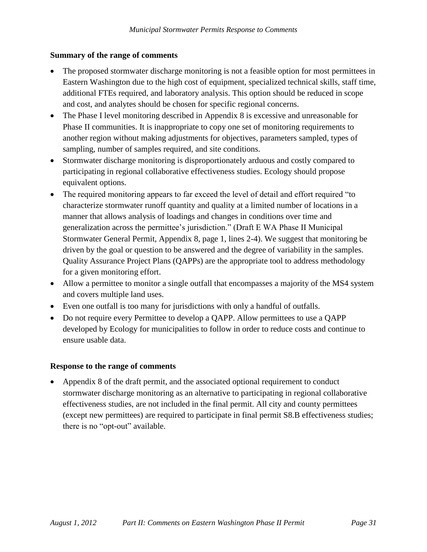## **Summary of the range of comments**

- The proposed stormwater discharge monitoring is not a feasible option for most permittees in Eastern Washington due to the high cost of equipment, specialized technical skills, staff time, additional FTEs required, and laboratory analysis. This option should be reduced in scope and cost, and analytes should be chosen for specific regional concerns.
- The Phase I level monitoring described in Appendix 8 is excessive and unreasonable for Phase II communities. It is inappropriate to copy one set of monitoring requirements to another region without making adjustments for objectives, parameters sampled, types of sampling, number of samples required, and site conditions.
- Stormwater discharge monitoring is disproportionately arduous and costly compared to participating in regional collaborative effectiveness studies. Ecology should propose equivalent options.
- The required monitoring appears to far exceed the level of detail and effort required "to" characterize stormwater runoff quantity and quality at a limited number of locations in a manner that allows analysis of loadings and changes in conditions over time and generalization across the permittee's jurisdiction." (Draft E WA Phase II Municipal Stormwater General Permit, Appendix 8, page 1, lines 2-4). We suggest that monitoring be driven by the goal or question to be answered and the degree of variability in the samples. Quality Assurance Project Plans (QAPPs) are the appropriate tool to address methodology for a given monitoring effort.
- Allow a permittee to monitor a single outfall that encompasses a majority of the MS4 system and covers multiple land uses.
- Even one outfall is too many for jurisdictions with only a handful of outfalls.
- Do not require every Permittee to develop a QAPP. Allow permittees to use a QAPP developed by Ecology for municipalities to follow in order to reduce costs and continue to ensure usable data.

### **Response to the range of comments**

 Appendix 8 of the draft permit, and the associated optional requirement to conduct stormwater discharge monitoring as an alternative to participating in regional collaborative effectiveness studies, are not included in the final permit. All city and county permittees (except new permittees) are required to participate in final permit S8.B effectiveness studies; there is no "opt-out" available.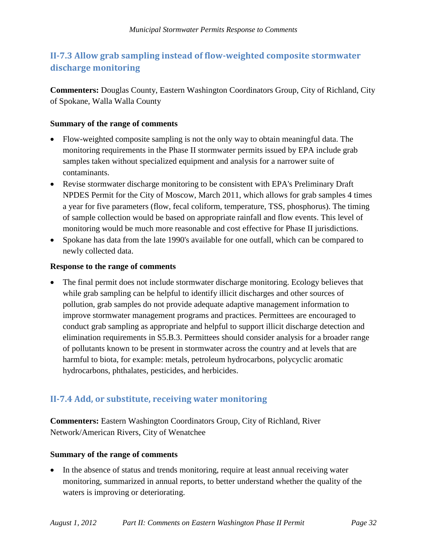# <span id="page-31-0"></span>**II-7.3 Allow grab sampling instead of flow-weighted composite stormwater discharge monitoring**

**Commenters:** Douglas County, Eastern Washington Coordinators Group, City of Richland, City of Spokane, Walla Walla County

### **Summary of the range of comments**

- Flow-weighted composite sampling is not the only way to obtain meaningful data. The monitoring requirements in the Phase II stormwater permits issued by EPA include grab samples taken without specialized equipment and analysis for a narrower suite of contaminants.
- Revise stormwater discharge monitoring to be consistent with EPA's Preliminary Draft NPDES Permit for the City of Moscow, March 2011, which allows for grab samples 4 times a year for five parameters (flow, fecal coliform, temperature, TSS, phosphorus). The timing of sample collection would be based on appropriate rainfall and flow events. This level of monitoring would be much more reasonable and cost effective for Phase II jurisdictions.
- Spokane has data from the late 1990's available for one outfall, which can be compared to newly collected data.

#### **Response to the range of comments**

• The final permit does not include stormwater discharge monitoring. Ecology believes that while grab sampling can be helpful to identify illicit discharges and other sources of pollution, grab samples do not provide adequate adaptive management information to improve stormwater management programs and practices. Permittees are encouraged to conduct grab sampling as appropriate and helpful to support illicit discharge detection and elimination requirements in S5.B.3. Permittees should consider analysis for a broader range of pollutants known to be present in stormwater across the country and at levels that are harmful to biota, for example: metals, petroleum hydrocarbons, polycyclic aromatic hydrocarbons, phthalates, pesticides, and herbicides.

## <span id="page-31-1"></span>**II-7.4 Add, or substitute, receiving water monitoring**

**Commenters:** Eastern Washington Coordinators Group, City of Richland, River Network/American Rivers, City of Wenatchee

### **Summary of the range of comments**

• In the absence of status and trends monitoring, require at least annual receiving water monitoring, summarized in annual reports, to better understand whether the quality of the waters is improving or deteriorating.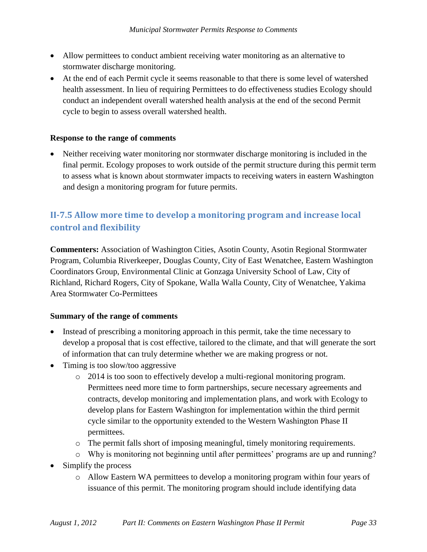- Allow permittees to conduct ambient receiving water monitoring as an alternative to stormwater discharge monitoring.
- At the end of each Permit cycle it seems reasonable to that there is some level of watershed health assessment. In lieu of requiring Permittees to do effectiveness studies Ecology should conduct an independent overall watershed health analysis at the end of the second Permit cycle to begin to assess overall watershed health.

### **Response to the range of comments**

 Neither receiving water monitoring nor stormwater discharge monitoring is included in the final permit. Ecology proposes to work outside of the permit structure during this permit term to assess what is known about stormwater impacts to receiving waters in eastern Washington and design a monitoring program for future permits.

# <span id="page-32-0"></span>**II-7.5 Allow more time to develop a monitoring program and increase local control and flexibility**

**Commenters:** Association of Washington Cities, Asotin County, Asotin Regional Stormwater Program, Columbia Riverkeeper, Douglas County, City of East Wenatchee, Eastern Washington Coordinators Group, Environmental Clinic at Gonzaga University School of Law, City of Richland, Richard Rogers, City of Spokane, Walla Walla County, City of Wenatchee, Yakima Area Stormwater Co-Permittees

### **Summary of the range of comments**

- Instead of prescribing a monitoring approach in this permit, take the time necessary to develop a proposal that is cost effective, tailored to the climate, and that will generate the sort of information that can truly determine whether we are making progress or not.
- Timing is too slow/too aggressive
	- o 2014 is too soon to effectively develop a multi-regional monitoring program. Permittees need more time to form partnerships, secure necessary agreements and contracts, develop monitoring and implementation plans, and work with Ecology to develop plans for Eastern Washington for implementation within the third permit cycle similar to the opportunity extended to the Western Washington Phase II permittees.
	- o The permit falls short of imposing meaningful, timely monitoring requirements.
	- o Why is monitoring not beginning until after permittees' programs are up and running?
- Simplify the process
	- o Allow Eastern WA permittees to develop a monitoring program within four years of issuance of this permit. The monitoring program should include identifying data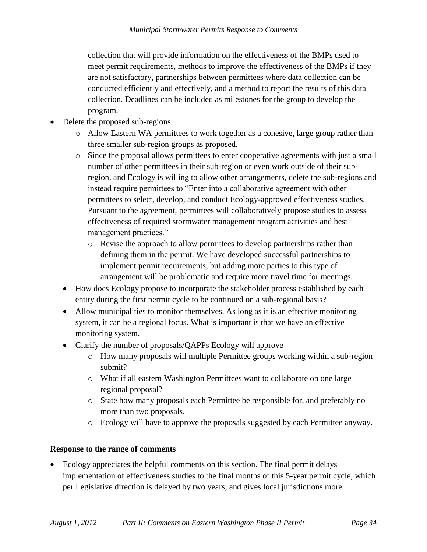collection that will provide information on the effectiveness of the BMPs used to meet permit requirements, methods to improve the effectiveness of the BMPs if they are not satisfactory, partnerships between permittees where data collection can be conducted efficiently and effectively, and a method to report the results of this data collection. Deadlines can be included as milestones for the group to develop the program.

- Delete the proposed sub-regions:
	- o Allow Eastern WA permittees to work together as a cohesive, large group rather than three smaller sub-region groups as proposed.
	- o Since the proposal allows permittees to enter cooperative agreements with just a small number of other permittees in their sub-region or even work outside of their subregion, and Ecology is willing to allow other arrangements, delete the sub-regions and instead require permittees to "Enter into a collaborative agreement with other permittees to select, develop, and conduct Ecology-approved effectiveness studies. Pursuant to the agreement, permittees will collaboratively propose studies to assess effectiveness of required stormwater management program activities and best management practices."
		- o Revise the approach to allow permittees to develop partnerships rather than defining them in the permit. We have developed successful partnerships to implement permit requirements, but adding more parties to this type of arrangement will be problematic and require more travel time for meetings.
	- How does Ecology propose to incorporate the stakeholder process established by each entity during the first permit cycle to be continued on a sub-regional basis?
	- Allow municipalities to monitor themselves. As long as it is an effective monitoring system, it can be a regional focus. What is important is that we have an effective monitoring system.
	- Clarify the number of proposals/QAPPs Ecology will approve
		- o How many proposals will multiple Permittee groups working within a sub-region submit?
		- o What if all eastern Washington Permittees want to collaborate on one large regional proposal?
		- o State how many proposals each Permittee be responsible for, and preferably no more than two proposals.
		- o Ecology will have to approve the proposals suggested by each Permittee anyway.

### **Response to the range of comments**

 Ecology appreciates the helpful comments on this section. The final permit delays implementation of effectiveness studies to the final months of this 5-year permit cycle, which per Legislative direction is delayed by two years, and gives local jurisdictions more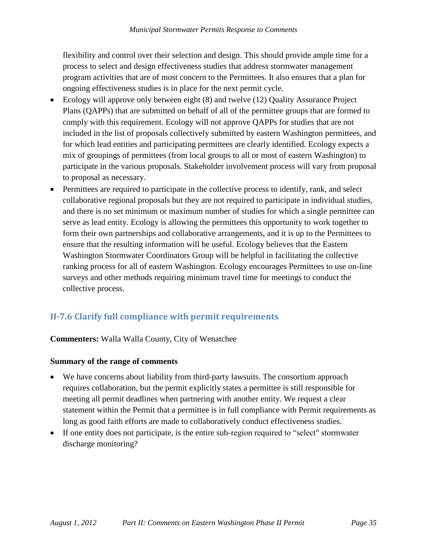flexibility and control over their selection and design. This should provide ample time for a process to select and design effectiveness studies that address stormwater management program activities that are of most concern to the Permittees. It also ensures that a plan for ongoing effectiveness studies is in place for the next permit cycle.

- Ecology will approve only between eight (8) and twelve (12) Quality Assurance Project Plans (QAPPs) that are submitted on behalf of all of the permittee groups that are formed to comply with this requirement. Ecology will not approve QAPPs for studies that are not included in the list of proposals collectively submitted by eastern Washington permittees, and for which lead entities and participating permittees are clearly identified. Ecology expects a mix of groupings of permittees (from local groups to all or most of eastern Washington) to participate in the various proposals. Stakeholder involvement process will vary from proposal to proposal as necessary.
- Permittees are required to participate in the collective process to identify, rank, and select collaborative regional proposals but they are not required to participate in individual studies, and there is no set minimum or maximum number of studies for which a single permittee can serve as lead entity. Ecology is allowing the permittees this opportunity to work together to form their own partnerships and collaborative arrangements, and it is up to the Permittees to ensure that the resulting information will be useful. Ecology believes that the Eastern Washington Stormwater Coordinators Group will be helpful in facilitating the collective ranking process for all of eastern Washington. Ecology encourages Permittees to use on-line surveys and other methods requiring minimum travel time for meetings to conduct the collective process.

# <span id="page-34-0"></span>**II-7.6 Clarify full compliance with permit requirements**

### **Commenters:** Walla Walla County, City of Wenatchee

### **Summary of the range of comments**

- We have concerns about liability from third-party lawsuits. The consortium approach requires collaboration, but the permit explicitly states a permittee is still responsible for meeting all permit deadlines when partnering with another entity. We request a clear statement within the Permit that a permittee is in full compliance with Permit requirements as long as good faith efforts are made to collaboratively conduct effectiveness studies.
- If one entity does not participate, is the entire sub-region required to "select" stormwater discharge monitoring?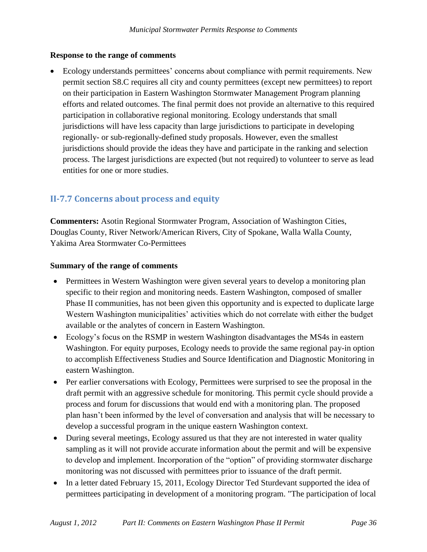## **Response to the range of comments**

 Ecology understands permittees' concerns about compliance with permit requirements. New permit section S8.C requires all city and county permittees (except new permittees) to report on their participation in Eastern Washington Stormwater Management Program planning efforts and related outcomes. The final permit does not provide an alternative to this required participation in collaborative regional monitoring. Ecology understands that small jurisdictions will have less capacity than large jurisdictions to participate in developing regionally- or sub-regionally-defined study proposals. However, even the smallest jurisdictions should provide the ideas they have and participate in the ranking and selection process. The largest jurisdictions are expected (but not required) to volunteer to serve as lead entities for one or more studies.

# <span id="page-35-0"></span>**II-7.7 Concerns about process and equity**

**Commenters:** Asotin Regional Stormwater Program, Association of Washington Cities, Douglas County, River Network/American Rivers, City of Spokane, Walla Walla County, Yakima Area Stormwater Co-Permittees

### **Summary of the range of comments**

- Permittees in Western Washington were given several years to develop a monitoring plan specific to their region and monitoring needs. Eastern Washington, composed of smaller Phase II communities, has not been given this opportunity and is expected to duplicate large Western Washington municipalities' activities which do not correlate with either the budget available or the analytes of concern in Eastern Washington.
- Ecology's focus on the RSMP in western Washington disadvantages the MS4s in eastern Washington. For equity purposes, Ecology needs to provide the same regional pay-in option to accomplish Effectiveness Studies and Source Identification and Diagnostic Monitoring in eastern Washington.
- Per earlier conversations with Ecology, Permittees were surprised to see the proposal in the draft permit with an aggressive schedule for monitoring. This permit cycle should provide a process and forum for discussions that would end with a monitoring plan. The proposed plan hasn't been informed by the level of conversation and analysis that will be necessary to develop a successful program in the unique eastern Washington context.
- During several meetings, Ecology assured us that they are not interested in water quality sampling as it will not provide accurate information about the permit and will be expensive to develop and implement. Incorporation of the "option" of providing stormwater discharge monitoring was not discussed with permittees prior to issuance of the draft permit.
- In a letter dated February 15, 2011, Ecology Director Ted Sturdevant supported the idea of permittees participating in development of a monitoring program. "The participation of local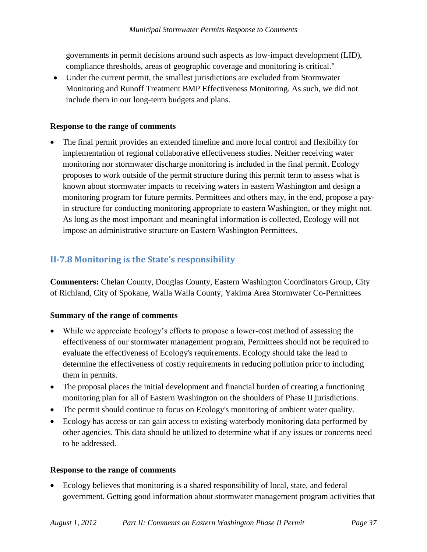governments in permit decisions around such aspects as low-impact development (LID), compliance thresholds, areas of geographic coverage and monitoring is critical."

 Under the current permit, the smallest jurisdictions are excluded from Stormwater Monitoring and Runoff Treatment BMP Effectiveness Monitoring. As such, we did not include them in our long-term budgets and plans.

### **Response to the range of comments**

 The final permit provides an extended timeline and more local control and flexibility for implementation of regional collaborative effectiveness studies. Neither receiving water monitoring nor stormwater discharge monitoring is included in the final permit. Ecology proposes to work outside of the permit structure during this permit term to assess what is known about stormwater impacts to receiving waters in eastern Washington and design a monitoring program for future permits. Permittees and others may, in the end, propose a payin structure for conducting monitoring appropriate to eastern Washington, or they might not. As long as the most important and meaningful information is collected, Ecology will not impose an administrative structure on Eastern Washington Permittees.

## <span id="page-36-0"></span>**II-7.8 Monitoring is the State's responsibility**

**Commenters:** Chelan County, Douglas County, Eastern Washington Coordinators Group, City of Richland, City of Spokane, Walla Walla County, Yakima Area Stormwater Co-Permittees

### **Summary of the range of comments**

- While we appreciate Ecology's efforts to propose a lower-cost method of assessing the effectiveness of our stormwater management program, Permittees should not be required to evaluate the effectiveness of Ecology's requirements. Ecology should take the lead to determine the effectiveness of costly requirements in reducing pollution prior to including them in permits.
- The proposal places the initial development and financial burden of creating a functioning monitoring plan for all of Eastern Washington on the shoulders of Phase II jurisdictions.
- The permit should continue to focus on Ecology's monitoring of ambient water quality.
- Ecology has access or can gain access to existing waterbody monitoring data performed by other agencies. This data should be utilized to determine what if any issues or concerns need to be addressed.

#### **Response to the range of comments**

 Ecology believes that monitoring is a shared responsibility of local, state, and federal government. Getting good information about stormwater management program activities that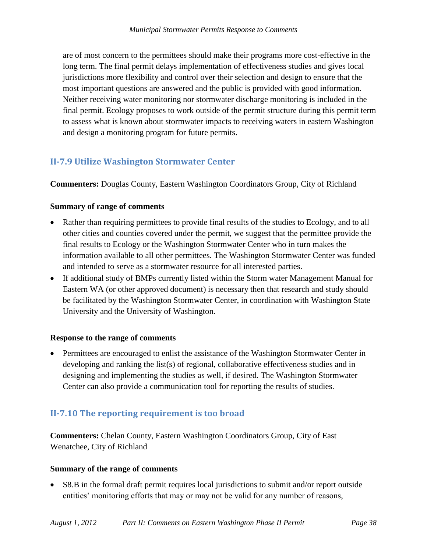are of most concern to the permittees should make their programs more cost-effective in the long term. The final permit delays implementation of effectiveness studies and gives local jurisdictions more flexibility and control over their selection and design to ensure that the most important questions are answered and the public is provided with good information. Neither receiving water monitoring nor stormwater discharge monitoring is included in the final permit. Ecology proposes to work outside of the permit structure during this permit term to assess what is known about stormwater impacts to receiving waters in eastern Washington and design a monitoring program for future permits.

## <span id="page-37-0"></span>**II-7.9 Utilize Washington Stormwater Center**

**Commenters:** Douglas County, Eastern Washington Coordinators Group, City of Richland

## **Summary of range of comments**

- Rather than requiring permittees to provide final results of the studies to Ecology, and to all other cities and counties covered under the permit, we suggest that the permittee provide the final results to Ecology or the Washington Stormwater Center who in turn makes the information available to all other permittees. The Washington Stormwater Center was funded and intended to serve as a stormwater resource for all interested parties.
- If additional study of BMPs currently listed within the Storm water Management Manual for Eastern WA (or other approved document) is necessary then that research and study should be facilitated by the Washington Stormwater Center, in coordination with Washington State University and the University of Washington.

### **Response to the range of comments**

 Permittees are encouraged to enlist the assistance of the Washington Stormwater Center in developing and ranking the list(s) of regional, collaborative effectiveness studies and in designing and implementing the studies as well, if desired. The Washington Stormwater Center can also provide a communication tool for reporting the results of studies.

# <span id="page-37-1"></span>**II-7.10 The reporting requirement is too broad**

**Commenters:** Chelan County, Eastern Washington Coordinators Group, City of East Wenatchee, City of Richland

### **Summary of the range of comments**

 S8.B in the formal draft permit requires local jurisdictions to submit and/or report outside entities' monitoring efforts that may or may not be valid for any number of reasons,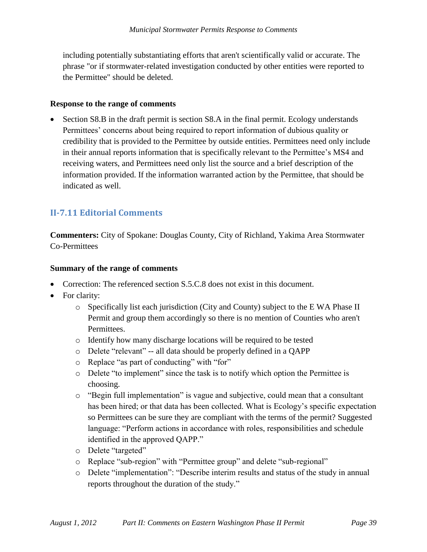including potentially substantiating efforts that aren't scientifically valid or accurate. The phrase "or if stormwater-related investigation conducted by other entities were reported to the Permittee" should be deleted.

### **Response to the range of comments**

 Section S8.B in the draft permit is section S8.A in the final permit. Ecology understands Permittees' concerns about being required to report information of dubious quality or credibility that is provided to the Permittee by outside entities. Permittees need only include in their annual reports information that is specifically relevant to the Permittee's MS4 and receiving waters, and Permittees need only list the source and a brief description of the information provided. If the information warranted action by the Permittee, that should be indicated as well.

## <span id="page-38-0"></span>**II-7.11 Editorial Comments**

**Commenters:** City of Spokane: Douglas County, City of Richland, Yakima Area Stormwater Co-Permittees

#### **Summary of the range of comments**

- Correction: The referenced section S.5.C.8 does not exist in this document.
- For clarity:
	- o Specifically list each jurisdiction (City and County) subject to the E WA Phase II Permit and group them accordingly so there is no mention of Counties who aren't Permittees.
	- o Identify how many discharge locations will be required to be tested
	- o Delete "relevant" -- all data should be properly defined in a QAPP
	- o Replace "as part of conducting" with "for"
	- o Delete "to implement" since the task is to notify which option the Permittee is choosing.
	- o "Begin full implementation" is vague and subjective, could mean that a consultant has been hired; or that data has been collected. What is Ecology's specific expectation so Permittees can be sure they are compliant with the terms of the permit? Suggested language: "Perform actions in accordance with roles, responsibilities and schedule identified in the approved QAPP."
	- o Delete "targeted"
	- o Replace "sub-region" with "Permittee group" and delete "sub-regional"
	- o Delete "implementation": "Describe interim results and status of the study in annual reports throughout the duration of the study."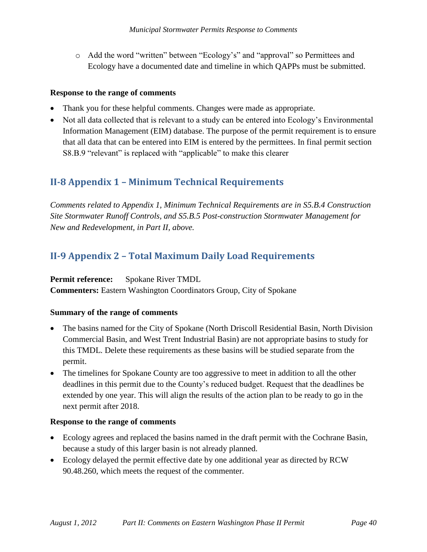o Add the word "written" between "Ecology's" and "approval" so Permittees and Ecology have a documented date and timeline in which QAPPs must be submitted.

#### **Response to the range of comments**

- Thank you for these helpful comments. Changes were made as appropriate.
- Not all data collected that is relevant to a study can be entered into Ecology's Environmental Information Management (EIM) database. The purpose of the permit requirement is to ensure that all data that can be entered into EIM is entered by the permittees. In final permit section S8.B.9 "relevant" is replaced with "applicable" to make this clearer

# <span id="page-39-0"></span>**II-8 Appendix 1 – Minimum Technical Requirements**

*Comments related to Appendix 1, Minimum Technical Requirements are in S5.B.4 Construction Site Stormwater Runoff Controls, and S5.B.5 Post-construction Stormwater Management for New and Redevelopment, in Part II, above.*

# <span id="page-39-1"></span>**II-9 Appendix 2 – Total Maximum Daily Load Requirements**

**Permit reference:** Spokane River TMDL

**Commenters:** Eastern Washington Coordinators Group, City of Spokane

### **Summary of the range of comments**

- The basins named for the City of Spokane (North Driscoll Residential Basin, North Division Commercial Basin, and West Trent Industrial Basin) are not appropriate basins to study for this TMDL. Delete these requirements as these basins will be studied separate from the permit.
- The timelines for Spokane County are too aggressive to meet in addition to all the other deadlines in this permit due to the County's reduced budget. Request that the deadlines be extended by one year. This will align the results of the action plan to be ready to go in the next permit after 2018.

### **Response to the range of comments**

- Ecology agrees and replaced the basins named in the draft permit with the Cochrane Basin, because a study of this larger basin is not already planned.
- Ecology delayed the permit effective date by one additional year as directed by RCW 90.48.260, which meets the request of the commenter.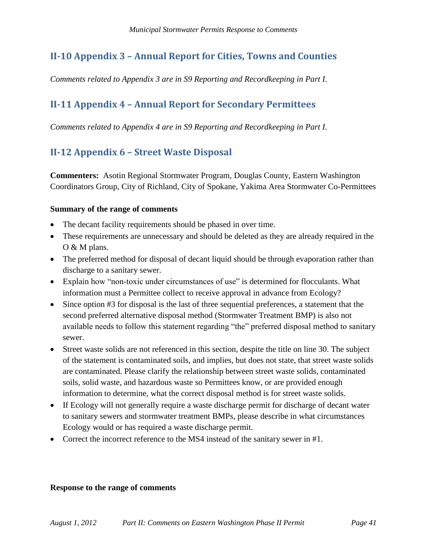# <span id="page-40-0"></span>**II-10 Appendix 3 – Annual Report for Cities, Towns and Counties**

*Comments related to Appendix 3 are in S9 Reporting and Recordkeeping in Part I.*

# <span id="page-40-1"></span>**II-11 Appendix 4 – Annual Report for Secondary Permittees**

*Comments related to Appendix 4 are in S9 Reporting and Recordkeeping in Part I.* 

# <span id="page-40-2"></span>**II-12 Appendix 6 – Street Waste Disposal**

**Commenters:** Asotin Regional Stormwater Program, Douglas County, Eastern Washington Coordinators Group, City of Richland, City of Spokane, Yakima Area Stormwater Co-Permittees

### **Summary of the range of comments**

- The decant facility requirements should be phased in over time.
- These requirements are unnecessary and should be deleted as they are already required in the O & M plans.
- The preferred method for disposal of decant liquid should be through evaporation rather than discharge to a sanitary sewer.
- Explain how "non-toxic under circumstances of use" is determined for flocculants. What information must a Permittee collect to receive approval in advance from Ecology?
- Since option #3 for disposal is the last of three sequential preferences, a statement that the second preferred alternative disposal method (Stormwater Treatment BMP) is also not available needs to follow this statement regarding "the" preferred disposal method to sanitary sewer.
- Street waste solids are not referenced in this section, despite the title on line 30. The subject of the statement is contaminated soils, and implies, but does not state, that street waste solids are contaminated. Please clarify the relationship between street waste solids, contaminated soils, solid waste, and hazardous waste so Permittees know, or are provided enough information to determine, what the correct disposal method is for street waste solids.
- If Ecology will not generally require a waste discharge permit for discharge of decant water to sanitary sewers and stormwater treatment BMPs, please describe in what circumstances Ecology would or has required a waste discharge permit.
- Correct the incorrect reference to the MS4 instead of the sanitary sewer in #1.

#### **Response to the range of comments**